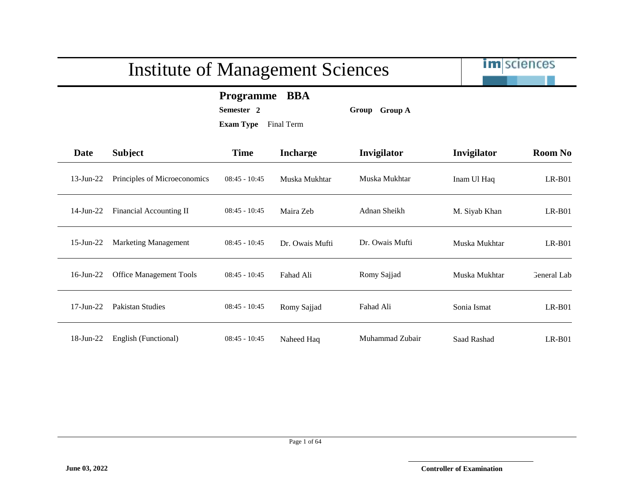# im sciences Institute of Management Sciences **Programme BBA Semester 2 Group Group A Exam Type** Final Term **Date Subject Time Incharge Invigilator Invigilator Room No** 13-Jun-22 Principles of Microeconomics 08:45 - 10:45 Muska Mukhtar Muska Mukhtar Inam Ul Haq LR-B01 14-Jun-22 Financial Accounting II 08:45 - 10:45 Maira Zeb Adnan Sheikh M. Siyab Khan LR-B01 15-Jun-22 Marketing Management 08:45 - 10:45 Dr. Owais Mufti Dr. Owais Mufti Muska Mukhtar LR-B01 16-Jun-22 Office Management Tools 08:45 - 10:45 Fahad Ali Romy Sajjad Muska Mukhtar General Lab 17-Jun-22 Pakistan Studies 08:45 - 10:45 Romy Sajjad Fahad Ali Sonia Ismat LR-B01 18-Jun-22 English (Functional) 08:45 - 10:45 Naheed Haq Muhammad Zubair Saad Rashad LR-B01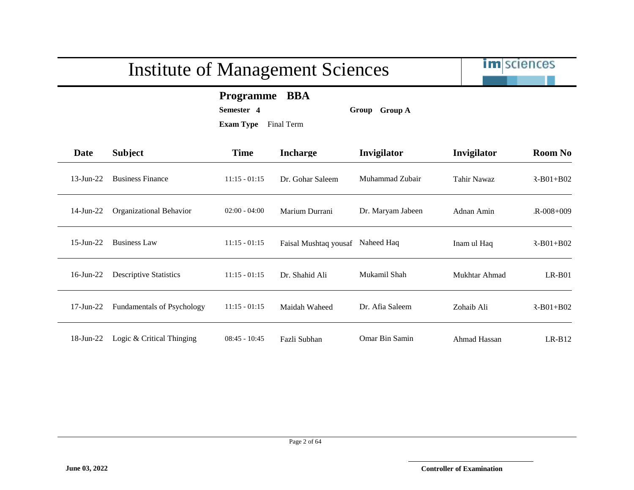

**Programme BBA**

**Semester 4 Group Group A**

| Date            | <b>Subject</b>                    | <b>Time</b>     | <b>Incharge</b>       | Invigilator       | Invigilator   | <b>Room No</b>  |
|-----------------|-----------------------------------|-----------------|-----------------------|-------------------|---------------|-----------------|
| $13$ -Jun-22    | <b>Business Finance</b>           | $11:15 - 01:15$ | Dr. Gohar Saleem      | Muhammad Zubair   | Tahir Nawaz   | $R - B01 + B02$ |
| $14$ -Jun-22    | Organizational Behavior           | $02:00 - 04:00$ | Marium Durrani        | Dr. Maryam Jabeen | Adnan Amin    | $R - 008 + 009$ |
| $15$ -Jun-22    | <b>Business Law</b>               | $11:15 - 01:15$ | Faisal Mushtaq yousaf | Naheed Haq        | Inam ul Haq   | $R-B01+B02$     |
| $16$ -Jun-22    | <b>Descriptive Statistics</b>     | $11:15 - 01:15$ | Dr. Shahid Ali        | Mukamil Shah      | Mukhtar Ahmad | $LR-B01$        |
| $17$ -Jun- $22$ | <b>Fundamentals of Psychology</b> | $11:15 - 01:15$ | Maidah Waheed         | Dr. Afia Saleem   | Zohaib Ali    | $R - B01 + B02$ |
| 18-Jun-22       | Logic & Critical Thinging         | $08:45 - 10:45$ | Fazli Subhan          | Omar Bin Samin    | Ahmad Hassan  | $LR-B12$        |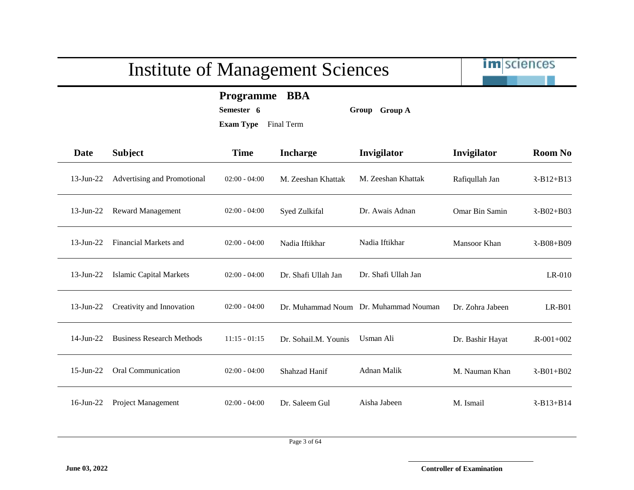

**Programme BBA**

**Semester 6 Group Group A**

| Date         | <b>Subject</b>                   | <b>Time</b>     | <b>Incharge</b>      | Invigilator         | Invigilator      | <b>Room No</b>  |
|--------------|----------------------------------|-----------------|----------------------|---------------------|------------------|-----------------|
| $13$ -Jun-22 | Advertising and Promotional      | $02:00 - 04:00$ | M. Zeeshan Khattak   | M. Zeeshan Khattak  | Rafiqullah Jan   | $R-B12+B13$     |
| $13$ -Jun-22 | <b>Reward Management</b>         | $02:00 - 04:00$ | Syed Zulkifal        | Dr. Awais Adnan     | Omar Bin Samin   | $R - B02 + B03$ |
| $13$ -Jun-22 | Financial Markets and            | $02:00 - 04:00$ | Nadia Iftikhar       | Nadia Iftikhar      | Mansoor Khan     | $R-B08+B09$     |
| 13-Jun-22    | <b>Islamic Capital Markets</b>   | $02:00 - 04:00$ | Dr. Shafi Ullah Jan  | Dr. Shafi Ullah Jan |                  | LR-010          |
| $13$ -Jun-22 | Creativity and Innovation        | $02:00 - 04:00$ | Dr. Muhammad Noum    | Dr. Muhammad Nouman | Dr. Zohra Jabeen | $LR-B01$        |
| $14$ -Jun-22 | <b>Business Research Methods</b> | $11:15 - 01:15$ | Dr. Sohail.M. Younis | Usman Ali           | Dr. Bashir Hayat | $R - 001 + 002$ |
| $15$ -Jun-22 | <b>Oral Communication</b>        | $02:00 - 04:00$ | Shahzad Hanif        | Adnan Malik         | M. Nauman Khan   | $R - B01 + B02$ |
| $16$ -Jun-22 | <b>Project Management</b>        | $02:00 - 04:00$ | Dr. Saleem Gul       | Aisha Jabeen        | M. Ismail        | $R-B13+B14$     |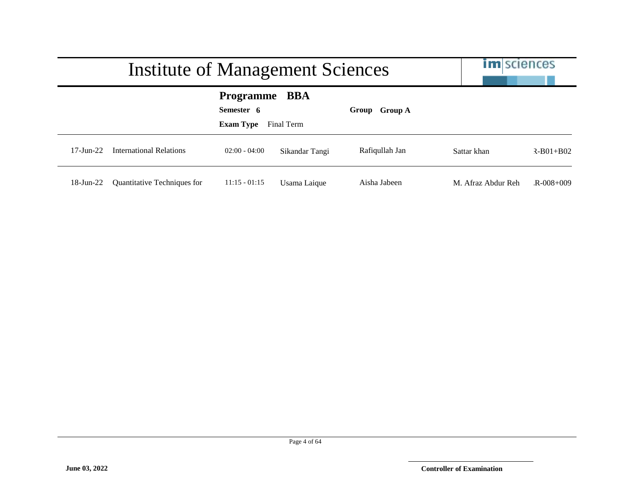|                        | Institute of Management Sciences | <b>im</b> sciences                                                      |                |                |                    |                 |
|------------------------|----------------------------------|-------------------------------------------------------------------------|----------------|----------------|--------------------|-----------------|
|                        |                                  | <b>Programme</b><br>BBA<br>Semester 6<br><b>Exam Type</b><br>Final Term |                | Group Group A  |                    |                 |
| $17 - \text{Jun} - 22$ | International Relations          | $02:00 - 04:00$                                                         | Sikandar Tangi | Rafiqullah Jan | Sattar khan        | $R - B01 + B02$ |
| $18$ -Jun-22           | Quantitative Techniques for      | $11:15 - 01:15$                                                         | Usama Laique   | Aisha Jabeen   | M. Afraz Abdur Reh | $R - 008 + 009$ |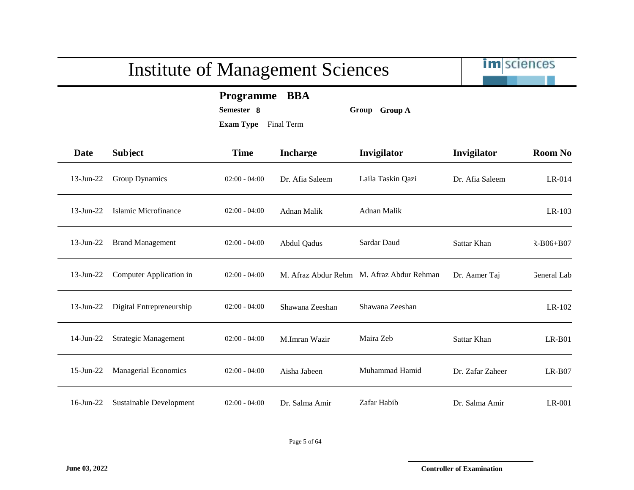**Programme BBA**

**Semester 8 Group Group A**

| <b>Date</b>  | <b>Subject</b>              | <b>Time</b>     | <b>Incharge</b> | Invigilator                               | Invigilator      | <b>Room No</b>     |
|--------------|-----------------------------|-----------------|-----------------|-------------------------------------------|------------------|--------------------|
| $13$ -Jun-22 | Group Dynamics              | $02:00 - 04:00$ | Dr. Afia Saleem | Laila Taskin Qazi                         | Dr. Afia Saleem  | $LR-014$           |
| $13$ -Jun-22 | Islamic Microfinance        | $02:00 - 04:00$ | Adnan Malik     | <b>Adnan Malik</b>                        |                  | LR-103             |
| $13$ -Jun-22 | <b>Brand Management</b>     | $02:00 - 04:00$ | Abdul Qadus     | Sardar Daud                               | Sattar Khan      | $R - B06 + B07$    |
| $13$ -Jun-22 | Computer Application in     | $02:00 - 04:00$ |                 | M. Afraz Abdur Rehm M. Afraz Abdur Rehman | Dr. Aamer Taj    | <b>General Lab</b> |
| $13$ -Jun-22 | Digital Entrepreneurship    | $02:00 - 04:00$ | Shawana Zeeshan | Shawana Zeeshan                           |                  | LR-102             |
| 14-Jun-22    | <b>Strategic Management</b> | $02:00 - 04:00$ | M.Imran Wazir   | Maira Zeb                                 | Sattar Khan      | $LR-B01$           |
| 15-Jun-22    | <b>Managerial Economics</b> | $02:00 - 04:00$ | Aisha Jabeen    | Muhammad Hamid                            | Dr. Zafar Zaheer | $LR-B07$           |
| $16$ -Jun-22 | Sustainable Development     | $02:00 - 04:00$ | Dr. Salma Amir  | Zafar Habib                               | Dr. Salma Amir   | LR-001             |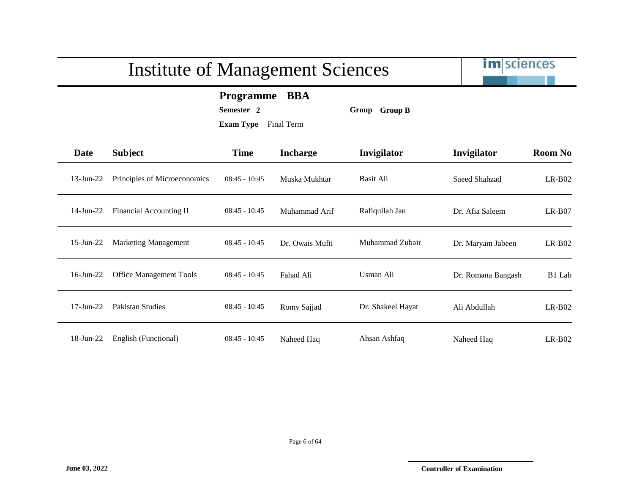|              | <b>Institute of Management Sciences</b> | <b>im</b> sciences                                                                        |                 |                   |                    |                |
|--------------|-----------------------------------------|-------------------------------------------------------------------------------------------|-----------------|-------------------|--------------------|----------------|
|              |                                         | <b>BBA</b><br><b>Programme</b><br>Semester <sub>2</sub><br><b>Exam Type</b><br>Final Term |                 | Group Group B     |                    |                |
| <b>Date</b>  | <b>Subject</b>                          | <b>Time</b>                                                                               | <b>Incharge</b> | Invigilator       | Invigilator        | <b>Room No</b> |
| $13$ -Jun-22 | Principles of Microeconomics            | $08:45 - 10:45$                                                                           | Muska Mukhtar   | Basit Ali         | Saeed Shahzad      | $LR-B02$       |
| $14$ -Jun-22 | Financial Accounting II                 | $08:45 - 10:45$                                                                           | Muhammad Arif   | Rafiqullah Jan    | Dr. Afia Saleem    | $LR-B07$       |
| 15-Jun-22    | <b>Marketing Management</b>             | $08:45 - 10:45$                                                                           | Dr. Owais Mufti | Muhammad Zubair   | Dr. Maryam Jabeen  | $LR-B02$       |
| $16$ -Jun-22 | <b>Office Management Tools</b>          | $08:45 - 10:45$                                                                           | Fahad Ali       | Usman Ali         | Dr. Romana Bangash | B1 Lab         |
| $17$ -Jun-22 | Pakistan Studies                        | $08:45 - 10:45$                                                                           | Romy Sajjad     | Dr. Shakeel Hayat | Ali Abdullah       | $LR-B02$       |
| $18$ -Jun-22 | English (Functional)                    | $08:45 - 10:45$                                                                           | Naheed Haq      | Ahsan Ashfaq      | Naheed Haq         | $LR-B02$       |

-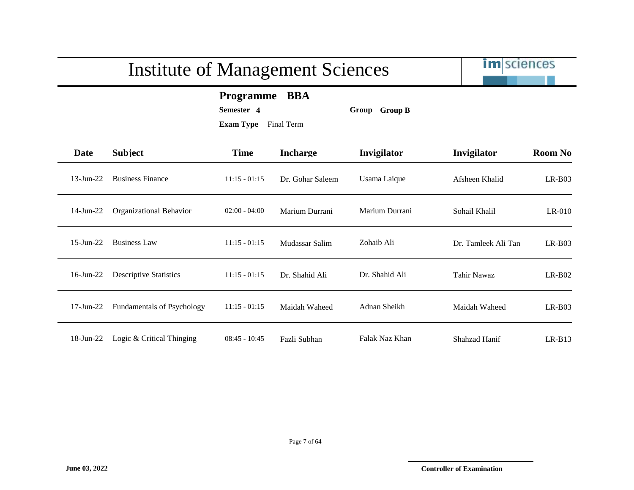im sciences

**Programme BBA**

**Semester 4 Group Group B**

| Date            | <b>Subject</b>                    | <b>Time</b>     | <b>Incharge</b>  | Invigilator    | Invigilator         | <b>Room No</b> |
|-----------------|-----------------------------------|-----------------|------------------|----------------|---------------------|----------------|
| $13$ -Jun-22    | <b>Business Finance</b>           | $11:15 - 01:15$ | Dr. Gohar Saleem | Usama Laique   | Afsheen Khalid      | $LR-B03$       |
| $14$ -Jun-22    | Organizational Behavior           | $02:00 - 04:00$ | Marium Durrani   | Marium Durrani | Sohail Khalil       | $LR-010$       |
| $15$ -Jun-22    | <b>Business Law</b>               | $11:15 - 01:15$ | Mudassar Salim   | Zohaib Ali     | Dr. Tamleek Ali Tan | $LR-B03$       |
| $16$ -Jun-22    | <b>Descriptive Statistics</b>     | $11:15 - 01:15$ | Dr. Shahid Ali   | Dr. Shahid Ali | Tahir Nawaz         | $LR-B02$       |
| $17$ -Jun- $22$ | <b>Fundamentals of Psychology</b> | $11:15 - 01:15$ | Maidah Waheed    | Adnan Sheikh   | Maidah Waheed       | $LR-B03$       |
| 18-Jun-22       | Logic & Critical Thinging         | $08:45 - 10:45$ | Fazli Subhan     | Falak Naz Khan | Shahzad Hanif       | $LR-B13$       |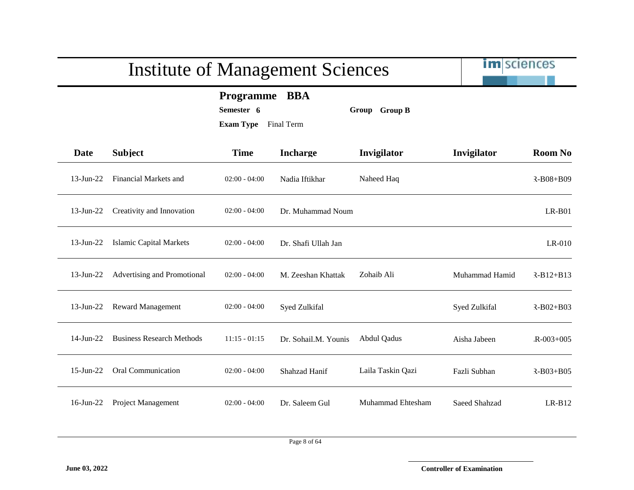|              | <b>Institute of Management Sciences</b> |                                                 | im sciences          |                   |                |                 |
|--------------|-----------------------------------------|-------------------------------------------------|----------------------|-------------------|----------------|-----------------|
|              |                                         | Programme BBA<br>Semester 6<br><b>Exam Type</b> | Final Term           | Group Group B     |                |                 |
| Date         | <b>Subject</b>                          | <b>Time</b>                                     | <b>Incharge</b>      | Invigilator       | Invigilator    | <b>Room No</b>  |
| $13$ -Jun-22 | Financial Markets and                   | $02:00 - 04:00$                                 | Nadia Iftikhar       | Naheed Haq        |                | $R-B08+B09$     |
| $13$ -Jun-22 | Creativity and Innovation               | $02:00 - 04:00$                                 | Dr. Muhammad Noum    |                   |                | $LR-B01$        |
| $13$ -Jun-22 | <b>Islamic Capital Markets</b>          | $02:00 - 04:00$                                 | Dr. Shafi Ullah Jan  |                   |                | $LR-010$        |
| $13$ -Jun-22 | Advertising and Promotional             | $02:00 - 04:00$                                 | M. Zeeshan Khattak   | Zohaib Ali        | Muhammad Hamid | $R-B12+B13$     |
| $13$ -Jun-22 | <b>Reward Management</b>                | $02:00 - 04:00$                                 | Syed Zulkifal        |                   | Syed Zulkifal  | $R-B02+B03$     |
| $14$ -Jun-22 | <b>Business Research Methods</b>        | $11:15 - 01:15$                                 | Dr. Sohail.M. Younis | Abdul Qadus       | Aisha Jabeen   | $R - 003 + 005$ |
| $15$ -Jun-22 | Oral Communication                      | $02:00 - 04:00$                                 | Shahzad Hanif        | Laila Taskin Qazi | Fazli Subhan   | $R-B03+B05$     |
| $16$ -Jun-22 | Project Management                      | $02:00 - 04:00$                                 | Dr. Saleem Gul       | Muhammad Ehtesham | Saeed Shahzad  | $LR-B12$        |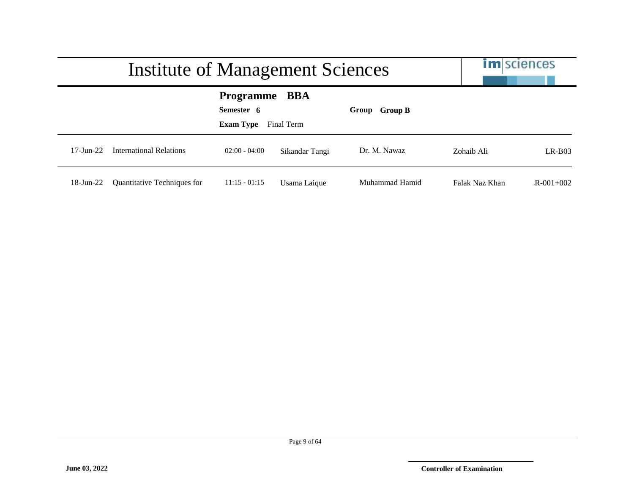|                        | <b>Institute of Management Sciences</b> | <b>im</b> sciences                                                      |                |                |                |                 |
|------------------------|-----------------------------------------|-------------------------------------------------------------------------|----------------|----------------|----------------|-----------------|
|                        |                                         | <b>Programme</b><br>BBA<br>Semester 6<br><b>Exam Type</b><br>Final Term |                | Group Group B  |                |                 |
| $17 - \text{Jun} - 22$ | International Relations                 | $02:00 - 04:00$                                                         | Sikandar Tangi | Dr. M. Nawaz   | Zohaib Ali     | $LR-BO3$        |
| 18-Jun-22              | Quantitative Techniques for             | $11:15 - 01:15$                                                         | Usama Laique   | Muhammad Hamid | Falak Naz Khan | $R = 001 + 002$ |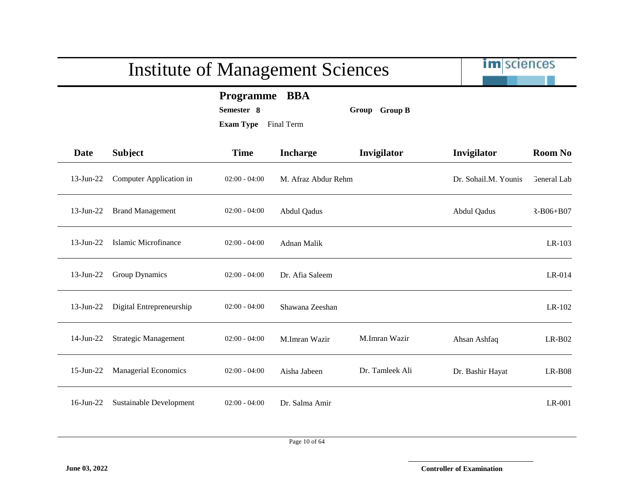|              | <b>Institute of Management Sciences</b> | <b>im</b> sciences                                 |                          |                 |                      |                 |
|--------------|-----------------------------------------|----------------------------------------------------|--------------------------|-----------------|----------------------|-----------------|
|              |                                         | <b>Programme</b><br>Semester 8<br><b>Exam Type</b> | <b>BBA</b><br>Final Term | Group Group B   |                      |                 |
| Date         | <b>Subject</b>                          | <b>Time</b>                                        | <b>Incharge</b>          | Invigilator     | Invigilator          | <b>Room No</b>  |
| $13$ -Jun-22 | Computer Application in                 | $02:00 - 04:00$                                    | M. Afraz Abdur Rehm      |                 | Dr. Sohail.M. Younis | General Lab     |
| $13$ -Jun-22 | <b>Brand Management</b>                 | $02:00 - 04:00$                                    | Abdul Qadus              |                 | Abdul Qadus          | $R - B06 + B07$ |
| $13$ -Jun-22 | Islamic Microfinance                    | $02:00 - 04:00$                                    | Adnan Malik              |                 |                      | LR-103          |
| $13$ -Jun-22 | Group Dynamics                          | $02:00 - 04:00$                                    | Dr. Afia Saleem          |                 |                      | LR-014          |
| $13$ -Jun-22 | Digital Entrepreneurship                | $02:00 - 04:00$                                    | Shawana Zeeshan          |                 |                      | LR-102          |
| $14$ -Jun-22 | <b>Strategic Management</b>             | $02:00 - 04:00$                                    | M.Imran Wazir            | M.Imran Wazir   | Ahsan Ashfaq         | $LR-B02$        |
| $15$ -Jun-22 | <b>Managerial Economics</b>             | $02:00 - 04:00$                                    | Aisha Jabeen             | Dr. Tamleek Ali | Dr. Bashir Hayat     | $LR-B08$        |
| $16$ -Jun-22 | Sustainable Development                 | $02:00 - 04:00$                                    | Dr. Salma Amir           |                 |                      | LR-001          |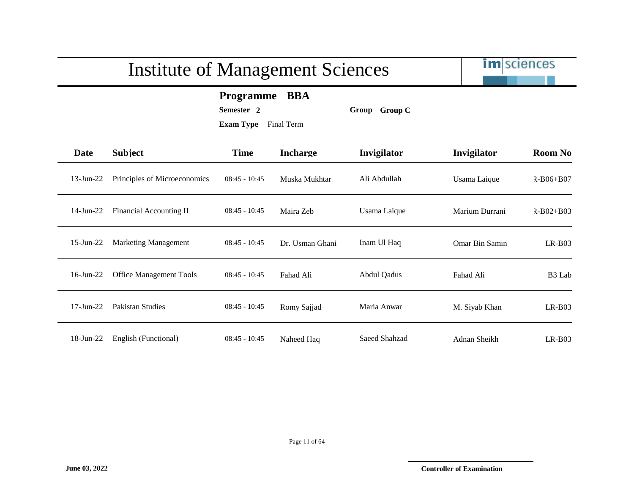im sciences

#### **Programme BBA**

**Semester 2 Group Group C**

| Date            | <b>Subject</b>                 | <b>Time</b>     | <b>Incharge</b> | Invigilator        | Invigilator    | <b>Room No</b>     |
|-----------------|--------------------------------|-----------------|-----------------|--------------------|----------------|--------------------|
| $13$ -Jun-22    | Principles of Microeconomics   | $08:45 - 10:45$ | Muska Mukhtar   | Ali Abdullah       | Usama Laique   | $R - B06 + B07$    |
| $14$ -Jun-22    | Financial Accounting II        | $08:45 - 10:45$ | Maira Zeb       | Usama Laique       | Marium Durrani | $R - B02 + B03$    |
| $15$ -Jun-22    | <b>Marketing Management</b>    | $08:45 - 10:45$ | Dr. Usman Ghani | Inam Ul Haq        | Omar Bin Samin | $LR-B03$           |
| $16$ -Jun-22    | <b>Office Management Tools</b> | $08:45 - 10:45$ | Fahad Ali       | <b>Abdul Qadus</b> | Fahad Ali      | B <sub>3</sub> Lab |
| $17$ -Jun- $22$ | Pakistan Studies               | $08:45 - 10:45$ | Romy Sajjad     | Maria Anwar        | M. Siyab Khan  | $LR-B03$           |
| 18-Jun-22       | English (Functional)           | $08:45 - 10:45$ | Naheed Haq      | Saeed Shahzad      | Adnan Sheikh   | $LR-B03$           |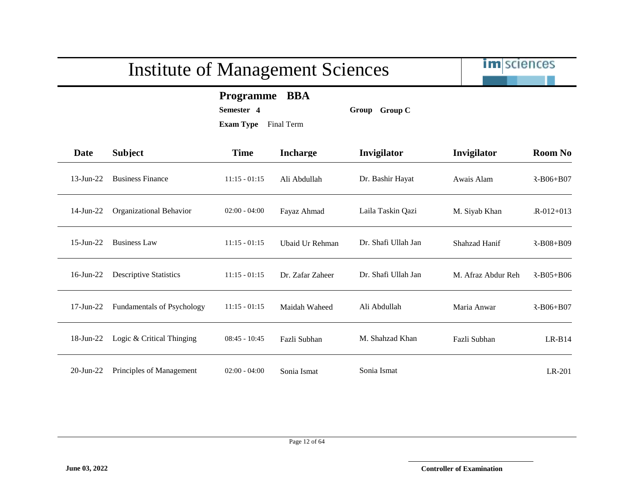im sciences

**Programme BBA**

**Semester 4 Group Group C**

**Exam Type** Final Term

| Date            | <b>Subject</b>                    | <b>Time</b>     | <b>Incharge</b>  | Invigilator         | Invigilator        | <b>Room No</b>  |
|-----------------|-----------------------------------|-----------------|------------------|---------------------|--------------------|-----------------|
| $13$ -Jun-22    | <b>Business Finance</b>           | $11:15 - 01:15$ | Ali Abdullah     | Dr. Bashir Hayat    | Awais Alam         | $R - B06 + B07$ |
| 14-Jun-22       | Organizational Behavior           | $02:00 - 04:00$ | Fayaz Ahmad      | Laila Taskin Qazi   | M. Siyab Khan      | $R - 012 + 013$ |
| $15$ -Jun-22    | <b>Business Law</b>               | $11:15 - 01:15$ | Ubaid Ur Rehman  | Dr. Shafi Ullah Jan | Shahzad Hanif      | $R - B08 + B09$ |
| $16$ -Jun-22    | <b>Descriptive Statistics</b>     | $11:15 - 01:15$ | Dr. Zafar Zaheer | Dr. Shafi Ullah Jan | M. Afraz Abdur Reh | $R - B05 + B06$ |
| $17$ -Jun- $22$ | <b>Fundamentals of Psychology</b> | $11:15 - 01:15$ | Maidah Waheed    | Ali Abdullah        | Maria Anwar        | $R - B06 + B07$ |
| 18-Jun-22       | Logic & Critical Thinging         | $08:45 - 10:45$ | Fazli Subhan     | M. Shahzad Khan     | Fazli Subhan       | $LR-B14$        |

20-Jun-22 Principles of Management 02:00 - 04:00 Sonia Ismat Sonia Ismat LR-201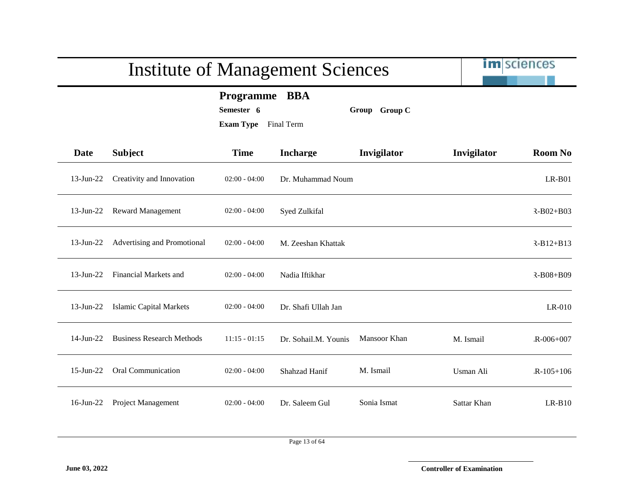|                                                                                | <b>Institute of Management Sciences</b> |                 | im sciences          |              |             |                 |
|--------------------------------------------------------------------------------|-----------------------------------------|-----------------|----------------------|--------------|-------------|-----------------|
| Programme BBA<br>Semester 6<br>Group Group C<br><b>Exam Type</b><br>Final Term |                                         |                 |                      |              |             |                 |
| <b>Date</b>                                                                    | <b>Subject</b>                          | <b>Time</b>     | <b>Incharge</b>      | Invigilator  | Invigilator | <b>Room No</b>  |
| $13$ -Jun-22                                                                   | Creativity and Innovation               | $02:00 - 04:00$ | Dr. Muhammad Noum    |              |             | $LR-B01$        |
| $13$ -Jun-22                                                                   | <b>Reward Management</b>                | $02:00 - 04:00$ | Syed Zulkifal        |              |             | $R - B02 + B03$ |
| $13$ -Jun-22                                                                   | Advertising and Promotional             | $02:00 - 04:00$ | M. Zeeshan Khattak   |              |             | $R-B12+B13$     |
| $13$ -Jun-22                                                                   | Financial Markets and                   | $02:00 - 04:00$ | Nadia Iftikhar       |              |             | $R-B08+B09$     |
| $13$ -Jun-22                                                                   | <b>Islamic Capital Markets</b>          | $02:00 - 04:00$ | Dr. Shafi Ullah Jan  |              |             | LR-010          |
| $14$ -Jun-22                                                                   | <b>Business Research Methods</b>        | $11:15 - 01:15$ | Dr. Sohail.M. Younis | Mansoor Khan | M. Ismail   | $R - 006 + 007$ |
| $15$ -Jun-22                                                                   | Oral Communication                      | $02:00 - 04:00$ | Shahzad Hanif        | M. Ismail    | Usman Ali   | $R-105+106$     |
| $16$ -Jun-22                                                                   | Project Management                      | $02:00 - 04:00$ | Dr. Saleem Gul       | Sonia Ismat  | Sattar Khan | $LR-B10$        |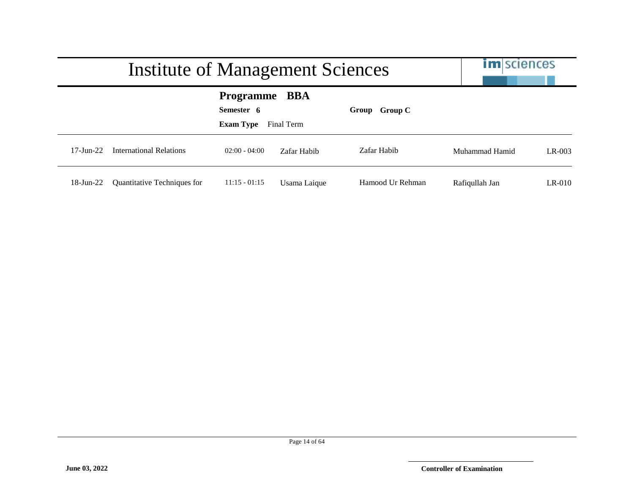|                        | Institute of Management Sciences |                                             |                   |                  |                | <b>im</b> sciences |  |
|------------------------|----------------------------------|---------------------------------------------|-------------------|------------------|----------------|--------------------|--|
|                        |                                  | Programme<br>Semester 6<br><b>Exam Type</b> | BBA<br>Final Term | Group Group C    |                |                    |  |
| $17 - \text{Jun} - 22$ | <b>International Relations</b>   | $02:00 - 04:00$                             | Zafar Habib       | Zafar Habib      | Muhammad Hamid | $LR-003$           |  |
| 18-Jun-22              | Quantitative Techniques for      | $11:15 - 01:15$                             | Usama Laique      | Hamood Ur Rehman | Rafiqullah Jan | $LR-010$           |  |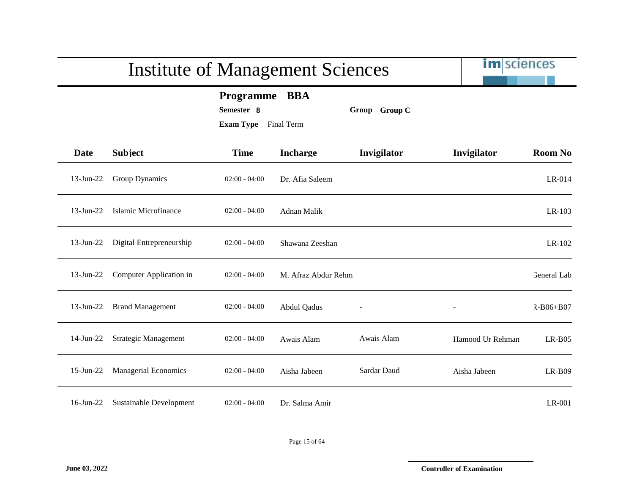|              | <b>Institute of Management Sciences</b> | im sciences                                                   |                     |               |                  |                    |
|--------------|-----------------------------------------|---------------------------------------------------------------|---------------------|---------------|------------------|--------------------|
|              |                                         | <b>Programme</b><br>Semester 8<br><b>Exam Type</b> Final Term | <b>BBA</b>          | Group Group C |                  |                    |
| <b>Date</b>  | <b>Subject</b>                          | <b>Time</b>                                                   | <b>Incharge</b>     | Invigilator   | Invigilator      | <b>Room No</b>     |
| $13$ -Jun-22 | Group Dynamics                          | $02:00 - 04:00$                                               | Dr. Afia Saleem     |               |                  | $LR-014$           |
| 13-Jun-22    | Islamic Microfinance                    | $02:00 - 04:00$                                               | Adnan Malik         |               |                  | LR-103             |
| $13$ -Jun-22 | Digital Entrepreneurship                | $02:00 - 04:00$                                               | Shawana Zeeshan     |               |                  | $LR-102$           |
| $13$ -Jun-22 | Computer Application in                 | $02:00 - 04:00$                                               | M. Afraz Abdur Rehm |               |                  | <b>General</b> Lab |
| $13$ -Jun-22 | <b>Brand Management</b>                 | $02:00 - 04:00$                                               | Abdul Qadus         |               |                  | $R - B06 + B07$    |
| $14$ -Jun-22 | <b>Strategic Management</b>             | $02:00 - 04:00$                                               | Awais Alam          | Awais Alam    | Hamood Ur Rehman | $LR-B05$           |
| $15$ -Jun-22 | <b>Managerial Economics</b>             | $02:00 - 04:00$                                               | Aisha Jabeen        | Sardar Daud   | Aisha Jabeen     | $LR-B09$           |
| 16-Jun-22    | Sustainable Development                 | $02:00 - 04:00$                                               | Dr. Salma Amir      |               |                  | LR-001             |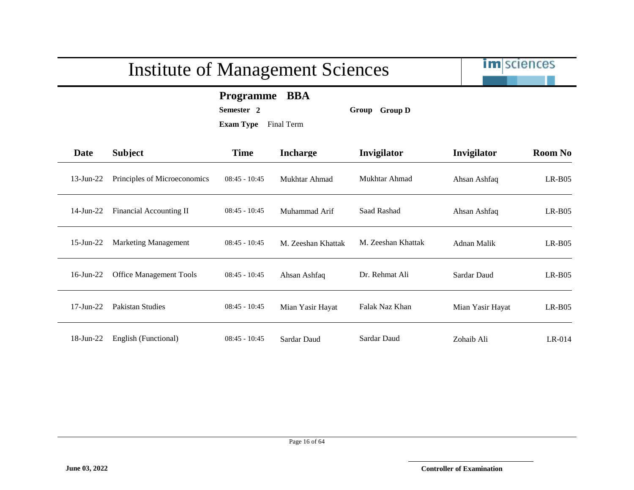im sciences

**Programme BBA**

**Semester 2 Group Group D**

| Date            | <b>Subject</b>                 | <b>Time</b>     | <b>Incharge</b>    | Invigilator        | Invigilator      | <b>Room No</b> |
|-----------------|--------------------------------|-----------------|--------------------|--------------------|------------------|----------------|
| $13$ -Jun-22    | Principles of Microeconomics   | $08:45 - 10:45$ | Mukhtar Ahmad      | Mukhtar Ahmad      | Ahsan Ashfaq     | $LR-B05$       |
| $14$ -Jun-22    | Financial Accounting II        | $08:45 - 10:45$ | Muhammad Arif      | Saad Rashad        | Ahsan Ashfaq     | $LR-B05$       |
| $15$ -Jun-22    | <b>Marketing Management</b>    | $08:45 - 10:45$ | M. Zeeshan Khattak | M. Zeeshan Khattak | Adnan Malik      | $LR-B05$       |
| $16$ -Jun-22    | <b>Office Management Tools</b> | $08:45 - 10:45$ | Ahsan Ashfaq       | Dr. Rehmat Ali     | Sardar Daud      | $LR-B05$       |
| $17$ -Jun- $22$ | Pakistan Studies               | $08:45 - 10:45$ | Mian Yasir Hayat   | Falak Naz Khan     | Mian Yasir Hayat | $LR-B05$       |
| 18-Jun-22       | English (Functional)           | $08:45 - 10:45$ | Sardar Daud        | Sardar Daud        | Zohaib Ali       | $LR-014$       |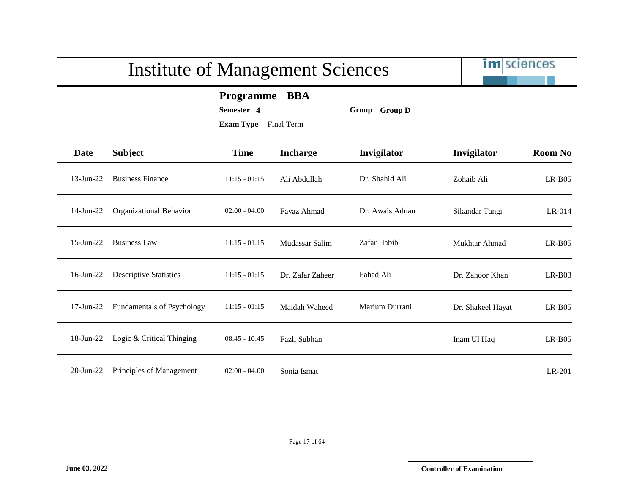im sciences

**Programme BBA**

**Semester 4 Group Group D**

| Date            | <b>Subject</b>                    | <b>Time</b>     | <b>Incharge</b>  | <b>Invigilator</b> | Invigilator       | <b>Room No</b> |
|-----------------|-----------------------------------|-----------------|------------------|--------------------|-------------------|----------------|
| $13$ -Jun-22    | <b>Business Finance</b>           | $11:15 - 01:15$ | Ali Abdullah     | Dr. Shahid Ali     | Zohaib Ali        | $LR-B05$       |
| $14$ -Jun-22    | Organizational Behavior           | $02:00 - 04:00$ | Fayaz Ahmad      | Dr. Awais Adnan    | Sikandar Tangi    | $LR-014$       |
| $15$ -Jun-22    | <b>Business Law</b>               | $11:15 - 01:15$ | Mudassar Salim   | Zafar Habib        | Mukhtar Ahmad     | $LR-B05$       |
| $16$ -Jun-22    | <b>Descriptive Statistics</b>     | $11:15 - 01:15$ | Dr. Zafar Zaheer | Fahad Ali          | Dr. Zahoor Khan   | $LR-B03$       |
| $17$ -Jun- $22$ | <b>Fundamentals of Psychology</b> | $11:15 - 01:15$ | Maidah Waheed    | Marium Durrani     | Dr. Shakeel Hayat | $LR-B05$       |
| $18$ -Jun-22    | Logic & Critical Thinging         | $08:45 - 10:45$ | Fazli Subhan     |                    | Inam Ul Haq       | $LR-B05$       |
| $20$ -Jun- $22$ | Principles of Management          | $02:00 - 04:00$ | Sonia Ismat      |                    |                   | LR-201         |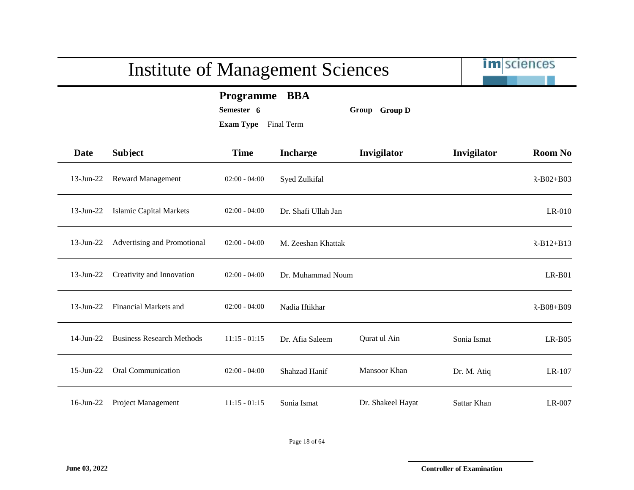|              | <b>Institute of Management Sciences</b> | im sciences                                     |                     |                   |             |                |
|--------------|-----------------------------------------|-------------------------------------------------|---------------------|-------------------|-------------|----------------|
|              |                                         | Programme BBA<br>Semester 6<br><b>Exam Type</b> | Final Term          | Group Group D     |             |                |
| Date         | <b>Subject</b>                          | <b>Time</b>                                     | <b>Incharge</b>     | Invigilator       | Invigilator | <b>Room No</b> |
| $13$ -Jun-22 | <b>Reward Management</b>                | $02:00 - 04:00$                                 | Syed Zulkifal       |                   |             | $R-B02+B03$    |
| $13$ -Jun-22 | <b>Islamic Capital Markets</b>          | $02:00 - 04:00$                                 | Dr. Shafi Ullah Jan |                   |             | $LR-010$       |
| $13$ -Jun-22 | Advertising and Promotional             | $02:00 - 04:00$                                 | M. Zeeshan Khattak  |                   |             | $R-B12+B13$    |
| $13$ -Jun-22 | Creativity and Innovation               | $02:00 - 04:00$                                 | Dr. Muhammad Noum   |                   |             | $LR-B01$       |
| $13$ -Jun-22 | Financial Markets and                   | $02:00 - 04:00$                                 | Nadia Iftikhar      |                   |             | R-B08+B09      |
| $14$ -Jun-22 | <b>Business Research Methods</b>        | $11:15 - 01:15$                                 | Dr. Afia Saleem     | Qurat ul Ain      | Sonia Ismat | $LR-B05$       |
| $15$ -Jun-22 | Oral Communication                      | $02:00 - 04:00$                                 | Shahzad Hanif       | Mansoor Khan      | Dr. M. Atiq | LR-107         |
| $16$ -Jun-22 | Project Management                      | $11:15 - 01:15$                                 | Sonia Ismat         | Dr. Shakeel Hayat | Sattar Khan | LR-007         |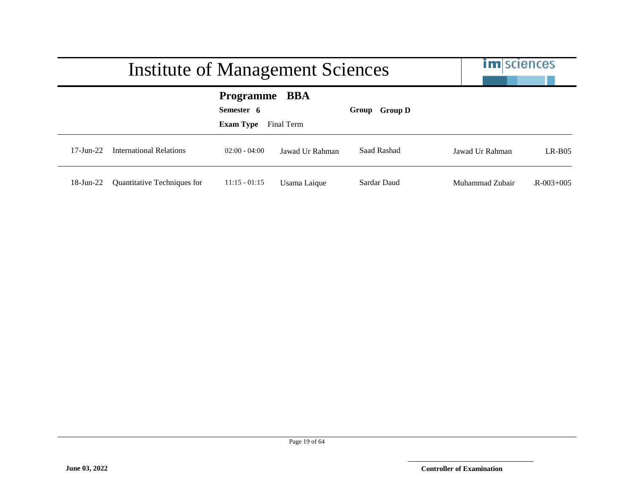|                        | Institute of Management Sciences |                                                    |                   |               |                 | <b>im</b> sciences |  |
|------------------------|----------------------------------|----------------------------------------------------|-------------------|---------------|-----------------|--------------------|--|
|                        |                                  | <b>Programme</b><br>Semester 6<br><b>Exam Type</b> | BBA<br>Final Term | Group Group D |                 |                    |  |
| $17 - \text{Jun} - 22$ | International Relations          | $02:00 - 04:00$                                    | Jawad Ur Rahman   | Saad Rashad   | Jawad Ur Rahman | $LR-BO5$           |  |
| $18$ -Jun-22           | Quantitative Techniques for      | $11:15 - 01:15$                                    | Usama Laique      | Sardar Daud   | Muhammad Zubair | $R - 003 + 005$    |  |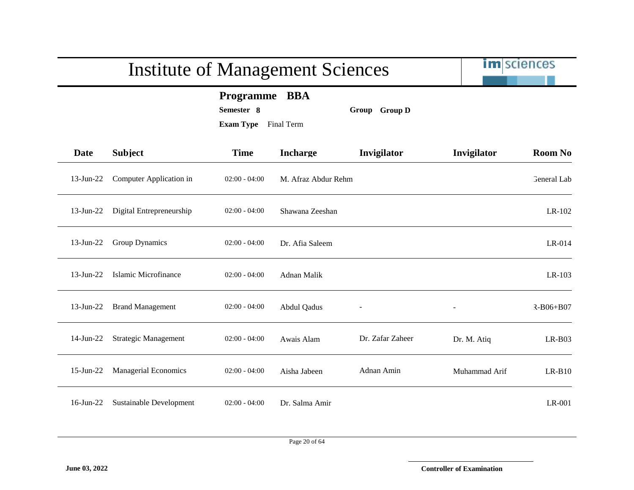|              | <b>Institute of Management Sciences</b> | im sciences                                        |                          |                  |               |                    |
|--------------|-----------------------------------------|----------------------------------------------------|--------------------------|------------------|---------------|--------------------|
|              |                                         | <b>Programme</b><br>Semester 8<br><b>Exam Type</b> | <b>BBA</b><br>Final Term | Group Group D    |               |                    |
| <b>Date</b>  | <b>Subject</b>                          | <b>Time</b>                                        | <b>Incharge</b>          | Invigilator      | Invigilator   | <b>Room No</b>     |
| $13$ -Jun-22 | Computer Application in                 | $02:00 - 04:00$                                    | M. Afraz Abdur Rehm      |                  |               | <b>General Lab</b> |
| $13$ -Jun-22 | Digital Entrepreneurship                | $02:00 - 04:00$                                    | Shawana Zeeshan          |                  |               | LR-102             |
| $13$ -Jun-22 | <b>Group Dynamics</b>                   | $02:00 - 04:00$                                    | Dr. Afia Saleem          |                  |               | LR-014             |
| $13$ -Jun-22 | Islamic Microfinance                    | $02:00 - 04:00$                                    | Adnan Malik              |                  |               | LR-103             |
| $13$ -Jun-22 | <b>Brand Management</b>                 | $02:00 - 04:00$                                    | Abdul Qadus              |                  |               | $R - B06 + B07$    |
| $14$ -Jun-22 | <b>Strategic Management</b>             | $02:00 - 04:00$                                    | Awais Alam               | Dr. Zafar Zaheer | Dr. M. Atiq   | $LR-B03$           |
| $15$ -Jun-22 | <b>Managerial Economics</b>             | $02:00 - 04:00$                                    | Aisha Jabeen             | Adnan Amin       | Muhammad Arif | $LR-B10$           |
| $16$ -Jun-22 | Sustainable Development                 | $02:00 - 04:00$                                    | Dr. Salma Amir           |                  |               | LR-001             |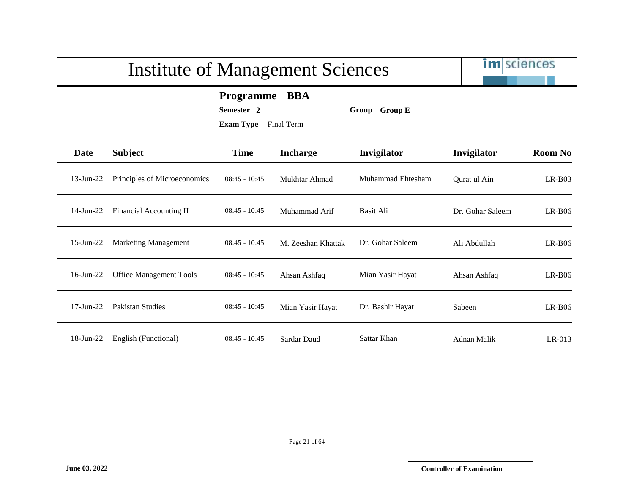# im sciences Institute of Management Sciences **Programme BBA Semester 2 Group Group E Exam Type** Final Term **Date Subject Time Incharge Invigilator Invigilator Room No** 13-Jun-22 Principles of Microeconomics 08:45 - 10:45 Mukhtar Ahmad Muhammad Ehtesham Qurat ul Ain LR-B03 14-Jun-22 Financial Accounting II 08:45 - 10:45 Muhammad Arif Basit Ali Dr. Gohar Saleem LR-B06 15-Jun-22 Marketing Management 08:45 - 10:45 M. Zeeshan Khattak Dr. Gohar Saleem Ali Abdullah LR-B06 16-Jun-22 Office Management Tools 08:45 - 10:45 Ahsan Ashfaq Mian Yasir Hayat Ahsan Ashfaq LR-B06

17-Jun-22 Pakistan Studies 08:45 - 10:45 Mian Yasir Hayat Dr. Bashir Hayat Sabeen LR-B06

18-Jun-22 English (Functional) 08:45 - 10:45 Sardar Daud Sattar Khan Adnan Malik LR-013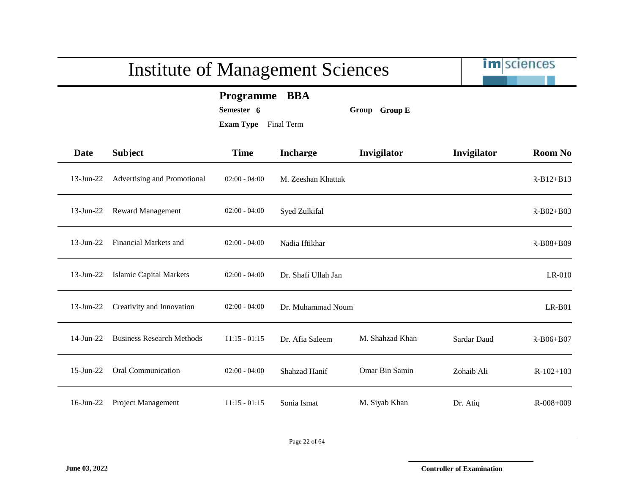|              | <b>Institute of Management Sciences</b> | im sciences                                                   |                     |                 |             |                 |
|--------------|-----------------------------------------|---------------------------------------------------------------|---------------------|-----------------|-------------|-----------------|
|              |                                         | <b>Programme</b><br>Semester 6<br><b>Exam Type</b> Final Term | <b>BBA</b>          | Group Group E   |             |                 |
| Date         | <b>Subject</b>                          | <b>Time</b>                                                   | <b>Incharge</b>     | Invigilator     | Invigilator | <b>Room No</b>  |
| $13$ -Jun-22 | Advertising and Promotional             | $02:00 - 04:00$                                               | M. Zeeshan Khattak  |                 |             | $R-B12+B13$     |
| $13$ -Jun-22 | <b>Reward Management</b>                | $02:00 - 04:00$                                               | Syed Zulkifal       |                 |             | $R - B02 + B03$ |
| $13$ -Jun-22 | Financial Markets and                   | $02:00 - 04:00$                                               | Nadia Iftikhar      |                 |             | $R-B08+B09$     |
| $13$ -Jun-22 | <b>Islamic Capital Markets</b>          | $02:00 - 04:00$                                               | Dr. Shafi Ullah Jan |                 |             | LR-010          |
| $13$ -Jun-22 | Creativity and Innovation               | $02:00 - 04:00$                                               | Dr. Muhammad Noum   |                 |             | $LR-B01$        |
| 14-Jun-22    | <b>Business Research Methods</b>        | $11:15 - 01:15$                                               | Dr. Afia Saleem     | M. Shahzad Khan | Sardar Daud | $R - B06 + B07$ |
| $15$ -Jun-22 | <b>Oral Communication</b>               | $02:00 - 04:00$                                               | Shahzad Hanif       | Omar Bin Samin  | Zohaib Ali  | $R-102+103$     |
| $16$ -Jun-22 | Project Management                      | $11:15 - 01:15$                                               | Sonia Ismat         | M. Siyab Khan   | Dr. Atiq    | $R - 008 + 009$ |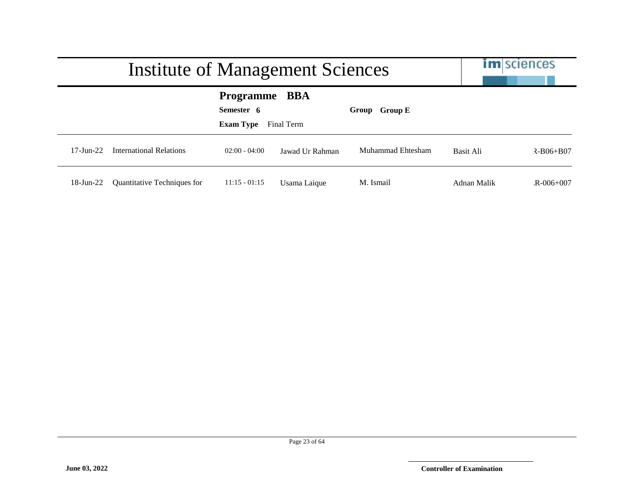|                        | Institute of Management Sciences |                                                    | <b>im</b> sciences       |                   |             |                 |
|------------------------|----------------------------------|----------------------------------------------------|--------------------------|-------------------|-------------|-----------------|
|                        |                                  | <b>Programme</b><br>Semester 6<br><b>Exam Type</b> | <b>BBA</b><br>Final Term | Group Group E     |             |                 |
| $17 - \text{Jun} - 22$ | International Relations          | $02:00 - 04:00$                                    | Jawad Ur Rahman          | Muhammad Ehtesham | Basit Ali   | $R - B06 + B07$ |
| $18$ -Jun-22           | Quantitative Techniques for      | $11:15 - 01:15$                                    | Usama Laique             | M. Ismail         | Adnan Malik | $R - 006 + 007$ |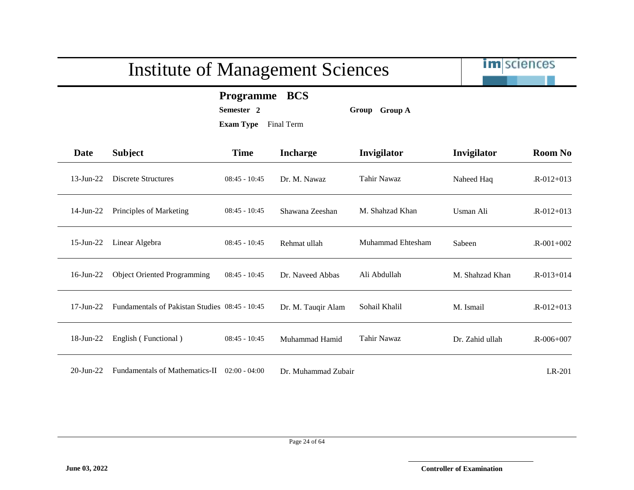im sciences

**Programme BCS**

**Semester 2 Group Group A**

| Date            | <b>Subject</b>                                 | <b>Time</b>     | <b>Incharge</b>     | Invigilator       | Invigilator     | <b>Room No</b>  |
|-----------------|------------------------------------------------|-----------------|---------------------|-------------------|-----------------|-----------------|
| $13$ -Jun-22    | <b>Discrete Structures</b>                     | $08:45 - 10:45$ | Dr. M. Nawaz        | Tahir Nawaz       | Naheed Haq      | $R - 012 + 013$ |
| $14$ -Jun-22    | Principles of Marketing                        | $08:45 - 10:45$ | Shawana Zeeshan     | M. Shahzad Khan   | Usman Ali       | $R - 012 + 013$ |
| $15$ -Jun-22    | Linear Algebra                                 | $08:45 - 10:45$ | Rehmat ullah        | Muhammad Ehtesham | Sabeen          | $R - 001 + 002$ |
| $16$ -Jun-22    | <b>Object Oriented Programming</b>             | $08:45 - 10:45$ | Dr. Naveed Abbas    | Ali Abdullah      | M. Shahzad Khan | $R - 013 + 014$ |
| $17$ -Jun- $22$ | Fundamentals of Pakistan Studies 08:45 - 10:45 |                 | Dr. M. Tauqir Alam  | Sohail Khalil     | M. Ismail       | $R - 012 + 013$ |
| $18$ -Jun-22    | English (Functional)                           | $08:45 - 10:45$ | Muhammad Hamid      | Tahir Nawaz       | Dr. Zahid ullah | $R - 006 + 007$ |
| $20$ -Jun-22    | Fundamentals of Mathematics-II                 | $02:00 - 04:00$ | Dr. Muhammad Zubair |                   |                 | LR-201          |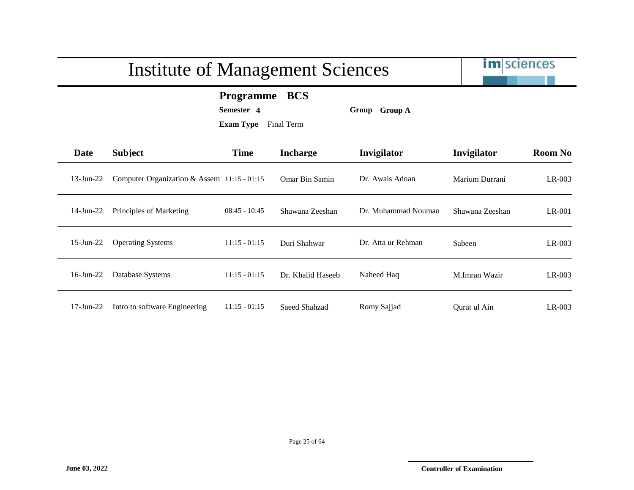# im sciences Institute of Management Sciences **Programme BCS Semester 4 Group Group A Exam Type** Final Term **Date Subject Time Incharge Invigilator Invigilator Room No** 13-Jun-22 Computer Organization & Assem 11:15 - 01:15 Omar Bin Samin Dr. Awais Adnan Marium Durrani LR-003 14-Jun-22 Principles of Marketing 08:45 - 10:45 Shawana Zeeshan Dr. Muhammad Nouman Shawana Zeeshan LR-001 15-Jun-22 Operating Systems 11:15 - 01:15 Duri Shahwar Dr. Atta ur Rehman Sabeen LR-003 16-Jun-22 Database Systems 11:15 - 01:15 Dr. Khalid Haseeb Naheed Haq M.Imran Wazir LR-003 17-Jun-22 Intro to software Engineering 11:15 - 01:15 Saeed Shahzad Romy Sajjad Qurat ul Ain LR-003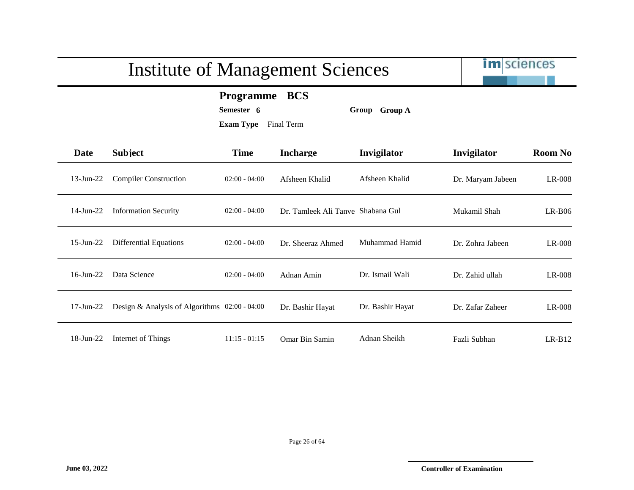# im sciences Institute of Management Sciences **Programme BCS Semester 6 Group Group A Exam Type** Final Term **Date Subject Time Incharge Invigilator Invigilator Room No** 13-Jun-22 Compiler Construction 02:00 - 04:00 Afsheen Khalid Afsheen Khalid Dr. Maryam Jabeen LR-008 14-Jun-22 Information Security 02:00 - 04:00 Dr. Tamleek Ali Tanve Shabana Gul Mukamil Shah LR-B06 15-Jun-22 Differential Equations 02:00 - 04:00 Dr. Sheeraz Ahmed Muhammad Hamid Dr. Zohra Jabeen LR-008 16-Jun-22 Data Science 02:00 - 04:00 Adnan Amin Dr. Ismail Wali Dr. Zahid ullah LR-008 17-Jun-22 Design & Analysis of Algorithms 02:00 - 04:00 Dr. Bashir Hayat Dr. Bashir Hayat Dr. Zafar Zaheer LR-008 18-Jun-22 Internet of Things 11:15 - 01:15 Omar Bin Samin Adnan Sheikh Fazli Subhan LR-B12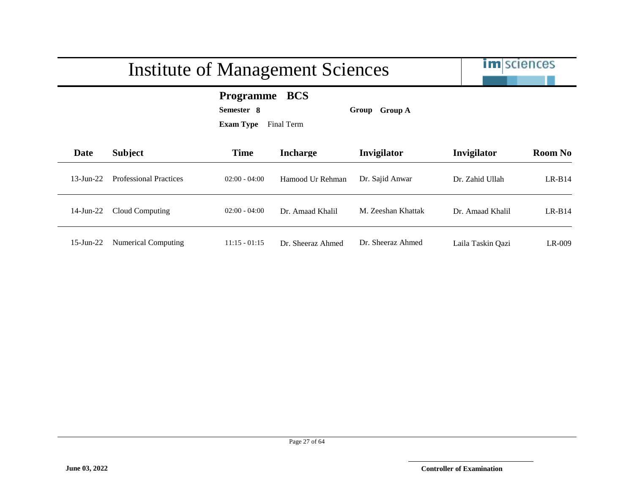im sciences

#### **Programme BCS**

**Semester 8 Group Group A**

| Date          | <b>Subject</b>                | <b>Time</b>     | <b>Incharge</b>   | Invigilator        | Invigilator       | <b>Room No</b> |
|---------------|-------------------------------|-----------------|-------------------|--------------------|-------------------|----------------|
| $13 - Jun-22$ | <b>Professional Practices</b> | $02:00 - 04:00$ | Hamood Ur Rehman  | Dr. Sajid Anwar    | Dr. Zahid Ullah   | $LR-B14$       |
| 14-Jun-22     | Cloud Computing               | $02:00 - 04:00$ | Dr. Amaad Khalil  | M. Zeeshan Khattak | Dr. Amaad Khalil  | $LR-B14$       |
| $15$ -Jun-22  | <b>Numerical Computing</b>    | $11:15 - 01:15$ | Dr. Sheeraz Ahmed | Dr. Sheeraz Ahmed  | Laila Taskin Qazi | LR-009         |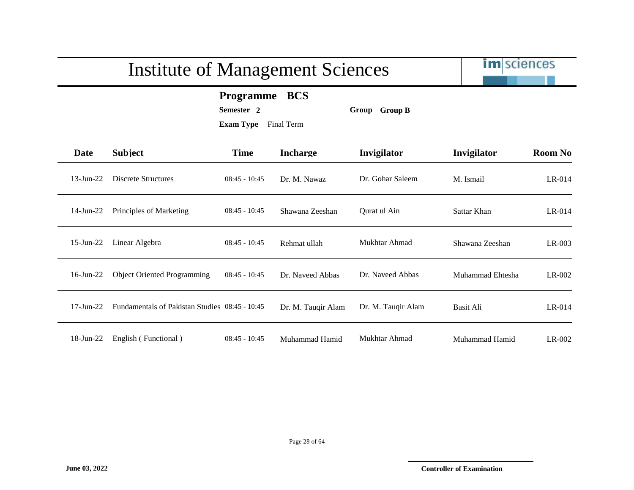im sciences

#### **Programme BCS**

**Semester 2 Group Group B**

| Date            | <b>Subject</b>                                 | <b>Time</b>     | <b>Incharge</b>    | Invigilator        | Invigilator      | <b>Room No</b> |
|-----------------|------------------------------------------------|-----------------|--------------------|--------------------|------------------|----------------|
| $13$ -Jun-22    | Discrete Structures                            | $08:45 - 10:45$ | Dr. M. Nawaz       | Dr. Gohar Saleem   | M. Ismail        | $LR-014$       |
| $14$ -Jun-22    | Principles of Marketing                        | $08:45 - 10:45$ | Shawana Zeeshan    | Qurat ul Ain       | Sattar Khan      | $LR-014$       |
| $15$ -Jun-22    | Linear Algebra                                 | $08:45 - 10:45$ | Rehmat ullah       | Mukhtar Ahmad      | Shawana Zeeshan  | $LR-003$       |
| $16$ -Jun-22    | <b>Object Oriented Programming</b>             | $08:45 - 10:45$ | Dr. Naveed Abbas   | Dr. Naveed Abbas   | Muhammad Ehtesha | $LR-002$       |
| $17$ -Jun- $22$ | Fundamentals of Pakistan Studies 08:45 - 10:45 |                 | Dr. M. Tauqir Alam | Dr. M. Tauqir Alam | Basit Ali        | LR-014         |
| 18-Jun-22       | English (Functional)                           | $08:45 - 10:45$ | Muhammad Hamid     | Mukhtar Ahmad      | Muhammad Hamid   | LR-002         |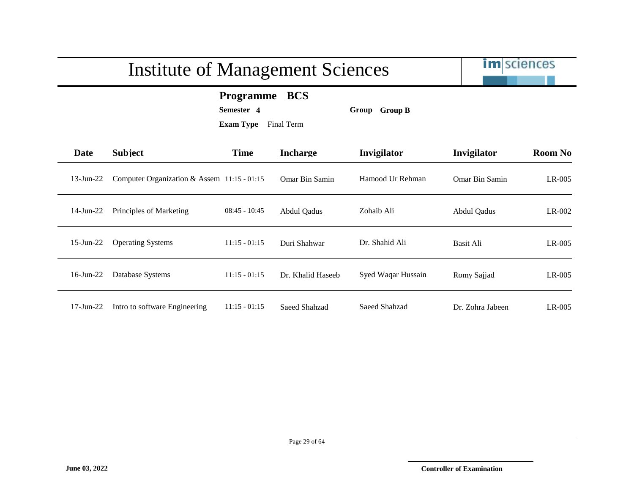# im sciences Institute of Management Sciences **Programme BCS Semester 4 Group Group B Exam Type** Final Term **Date Subject Time Incharge Invigilator Invigilator Room No** 13-Jun-22 Computer Organization & Assem 11:15 - 01:15 Omar Bin Samin Hamood Ur Rehman Omar Bin Samin LR-005 14-Jun-22 Principles of Marketing 08:45 - 10:45 Abdul Qadus Zohaib Ali Abdul Qadus LR-002 15-Jun-22 Operating Systems 11:15 - 01:15 Duri Shahwar Dr. Shahid Ali Basit Ali LR-005 16-Jun-22 Database Systems 11:15 - 01:15 Dr. Khalid Haseeb Syed Waqar Hussain Romy Sajjad LR-005

17-Jun-22 Intro to software Engineering 11:15 - 01:15 Saeed Shahzad Saeed Shahzad Dr. Zohra Jabeen LR-005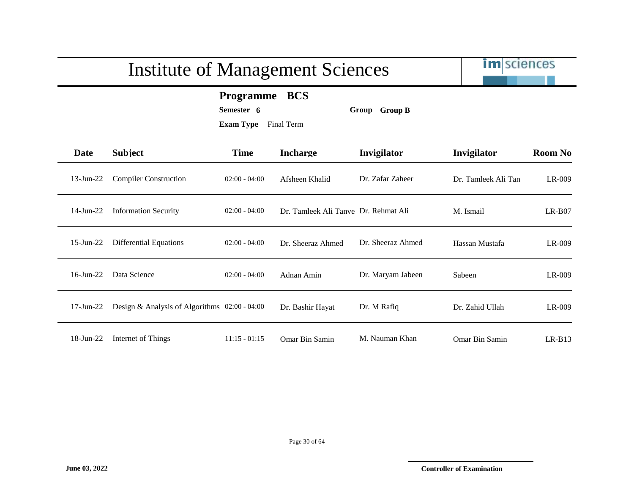|              | <b>Institute of Management Sciences</b>         |                                                    |                                      |                   |                     | <b>im</b> sciences |  |
|--------------|-------------------------------------------------|----------------------------------------------------|--------------------------------------|-------------------|---------------------|--------------------|--|
|              |                                                 | <b>Programme</b><br>Semester 6<br><b>Exam Type</b> | <b>BCS</b><br>Final Term             | Group Group B     |                     |                    |  |
| Date         | <b>Subject</b>                                  | <b>Time</b>                                        | <b>Incharge</b>                      | Invigilator       | Invigilator         | <b>Room No</b>     |  |
| $13$ -Jun-22 | <b>Compiler Construction</b>                    | $02:00 - 04:00$                                    | Afsheen Khalid                       | Dr. Zafar Zaheer  | Dr. Tamleek Ali Tan | LR-009             |  |
| $14$ -Jun-22 | <b>Information Security</b>                     | $02:00 - 04:00$                                    | Dr. Tamleek Ali Tanye Dr. Rehmat Ali |                   | M. Ismail           | $LR-B07$           |  |
| $15$ -Jun-22 | <b>Differential Equations</b>                   | $02:00 - 04:00$                                    | Dr. Sheeraz Ahmed                    | Dr. Sheeraz Ahmed | Hassan Mustafa      | LR-009             |  |
| $16$ -Jun-22 | Data Science                                    | $02:00 - 04:00$                                    | Adnan Amin                           | Dr. Maryam Jabeen | Sabeen              | LR-009             |  |
| $17$ -Jun-22 | Design & Analysis of Algorithms $02:00 - 04:00$ |                                                    | Dr. Bashir Hayat                     | Dr. M Rafiq       | Dr. Zahid Ullah     | LR-009             |  |
| $18$ -Jun-22 | Internet of Things                              | $11:15 - 01:15$                                    | Omar Bin Samin                       | M. Nauman Khan    | Omar Bin Samin      | $LR-B13$           |  |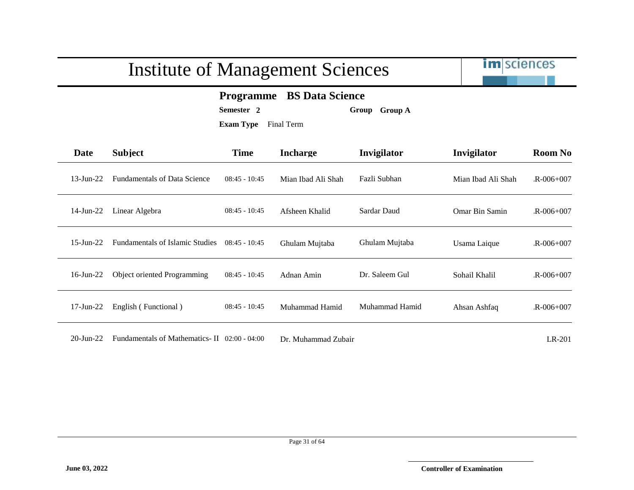

#### **Programme BS Data Science**

**Semester 2 Group Group A**

**Exam Type** Final Term

| <b>Date</b>   | <b>Subject</b>                         | <b>Time</b>     | <b>Incharge</b>    | Invigilator    | Invigilator        | <b>Room No</b>  |
|---------------|----------------------------------------|-----------------|--------------------|----------------|--------------------|-----------------|
| $13$ -Jun-22  | <b>Fundamentals of Data Science</b>    | $08:45 - 10:45$ | Mian Ibad Ali Shah | Fazli Subhan   | Mian Ibad Ali Shah | $R - 006 + 007$ |
| $14$ -Jun-22  | Linear Algebra                         | $08:45 - 10:45$ | Afsheen Khalid     | Sardar Daud    | Omar Bin Samin     | $R - 006 + 007$ |
| $15 - Jun-22$ | <b>Fundamentals of Islamic Studies</b> | $08:45 - 10:45$ | Ghulam Mujtaba     | Ghulam Mujtaba | Usama Laique       | $R - 006 + 007$ |
| $16$ -Jun-22  | Object oriented Programming            | $08:45 - 10:45$ | Adnan Amin         | Dr. Saleem Gul | Sohail Khalil      | $R - 006 + 007$ |
| $17$ -Jun-22  | English (Functional)                   | $08:45 - 10:45$ | Muhammad Hamid     | Muhammad Hamid | Ahsan Ashfaq       | $R - 006 + 007$ |

20-Jun-22 Fundamentals of Mathematics- II 02:00 - 04:00 Dr. Muhammad Zubair LR-201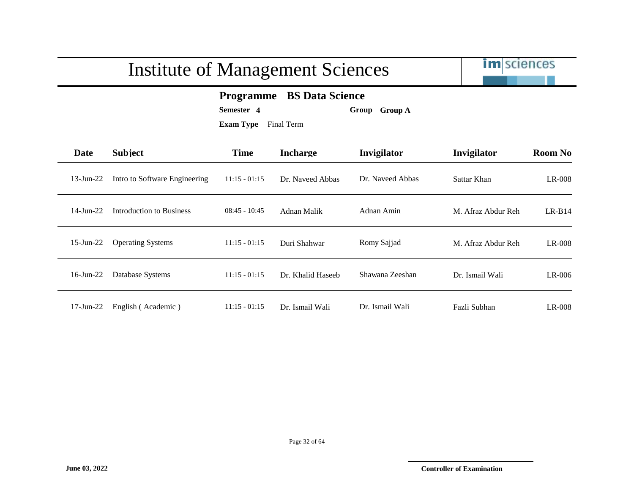

#### **Programme BS Data Science**

**Semester 4 Group Group A**

| <b>Date</b>     | <b>Subject</b>                | <b>Time</b>     | <b>Incharge</b>   | Invigilator      | Invigilator        | <b>Room No</b> |
|-----------------|-------------------------------|-----------------|-------------------|------------------|--------------------|----------------|
| $13$ -Jun-22    | Intro to Software Engineering | $11:15 - 01:15$ | Dr. Naveed Abbas  | Dr. Naveed Abbas | Sattar Khan        | $LR-008$       |
| $14$ -Jun- $22$ | Introduction to Business      | $08:45 - 10:45$ | Adnan Malik       | Adnan Amin       | M. Afraz Abdur Reh | $LR-B14$       |
| $15$ -Jun-22    | <b>Operating Systems</b>      | $11:15 - 01:15$ | Duri Shahwar      | Romy Sajjad      | M. Afraz Abdur Reh | LR-008         |
| $16$ -Jun-22    | Database Systems              | $11:15 - 01:15$ | Dr. Khalid Haseeb | Shawana Zeeshan  | Dr. Ismail Wali    | LR-006         |
| $17$ -Jun- $22$ | English (Academic)            | $11:15 - 01:15$ | Dr. Ismail Wali   | Dr. Ismail Wali  | Fazli Subhan       | $LR-008$       |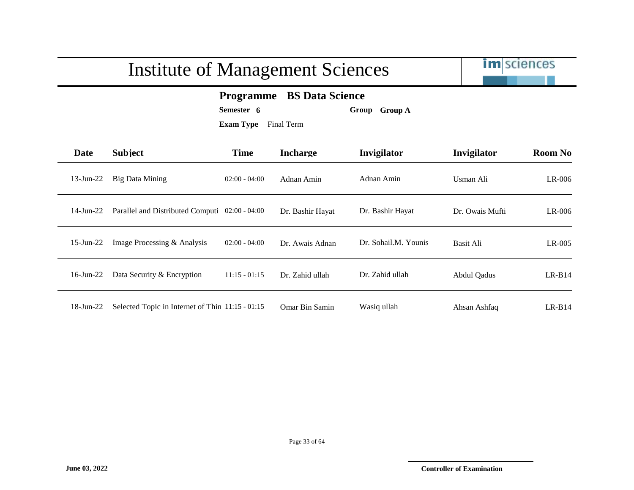

#### **Programme BS Data Science**

**Semester 6 Group Group A**

| <b>Date</b>  | <b>Subject</b>                                   | <b>Time</b>     | <b>Incharge</b>  | <b>Invigilator</b>   | Invigilator     | <b>Room No</b> |
|--------------|--------------------------------------------------|-----------------|------------------|----------------------|-----------------|----------------|
| $13$ -Jun-22 | <b>Big Data Mining</b>                           | $02:00 - 04:00$ | Adnan Amin       | Adnan Amin           | Usman Ali       | LR-006         |
| 14-Jun-22    | Parallel and Distributed Computi 02:00 - 04:00   |                 | Dr. Bashir Hayat | Dr. Bashir Hayat     | Dr. Owais Mufti | LR-006         |
| $15$ -Jun-22 | Image Processing & Analysis                      | $02:00 - 04:00$ | Dr. Awais Adnan  | Dr. Sohail.M. Younis | Basit Ali       | $LR-005$       |
| $16$ -Jun-22 | Data Security & Encryption                       | $11:15 - 01:15$ | Dr. Zahid ullah  | Dr. Zahid ullah      | Abdul Qadus     | $LR-B14$       |
| 18-Jun-22    | Selected Topic in Internet of Thin 11:15 - 01:15 |                 | Omar Bin Samin   | Wasiq ullah          | Ahsan Ashfaq    | $LR-B14$       |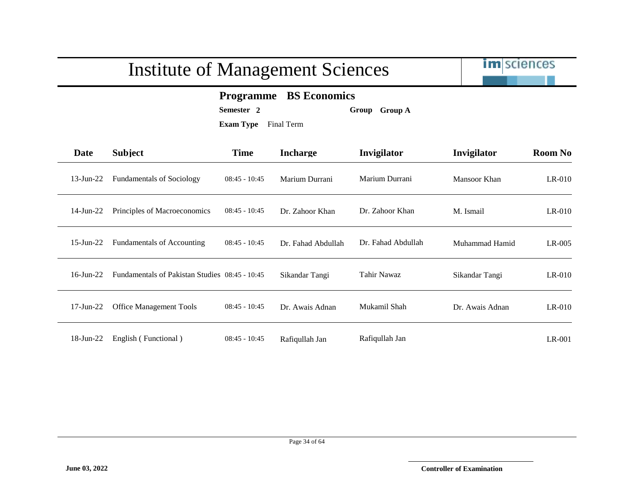|                 |                                                                                                                     | <b>Institute of Management Sciences</b> |                    |                    | <b>im</b> sciences |                |  |  |
|-----------------|---------------------------------------------------------------------------------------------------------------------|-----------------------------------------|--------------------|--------------------|--------------------|----------------|--|--|
|                 | <b>BS</b> Economics<br><b>Programme</b><br>Semester <sub>2</sub><br>Group Group A<br><b>Exam Type</b><br>Final Term |                                         |                    |                    |                    |                |  |  |
| <b>Date</b>     | <b>Subject</b>                                                                                                      | <b>Time</b>                             | <b>Incharge</b>    | Invigilator        | Invigilator        | <b>Room No</b> |  |  |
| $13$ -Jun-22    | <b>Fundamentals of Sociology</b>                                                                                    | $08:45 - 10:45$                         | Marium Durrani     | Marium Durrani     | Mansoor Khan       | $LR-010$       |  |  |
| 14-Jun-22       | Principles of Macroeconomics                                                                                        | $08:45 - 10:45$                         | Dr. Zahoor Khan    | Dr. Zahoor Khan    | M. Ismail          | $LR-010$       |  |  |
| $15$ -Jun-22    | <b>Fundamentals of Accounting</b>                                                                                   | $08:45 - 10:45$                         | Dr. Fahad Abdullah | Dr. Fahad Abdullah | Muhammad Hamid     | $LR-005$       |  |  |
| $16$ -Jun- $22$ | Fundamentals of Pakistan Studies 08:45 - 10:45                                                                      |                                         | Sikandar Tangi     | Tahir Nawaz        | Sikandar Tangi     | $LR-010$       |  |  |
| $17$ -Jun- $22$ | <b>Office Management Tools</b>                                                                                      | $08:45 - 10:45$                         | Dr. Awais Adnan    | Mukamil Shah       | Dr. Awais Adnan    | $LR-010$       |  |  |
| $18$ -Jun-22    | English (Functional)                                                                                                | $08:45 - 10:45$                         | Rafiqullah Jan     | Rafiqullah Jan     |                    | $LR-001$       |  |  |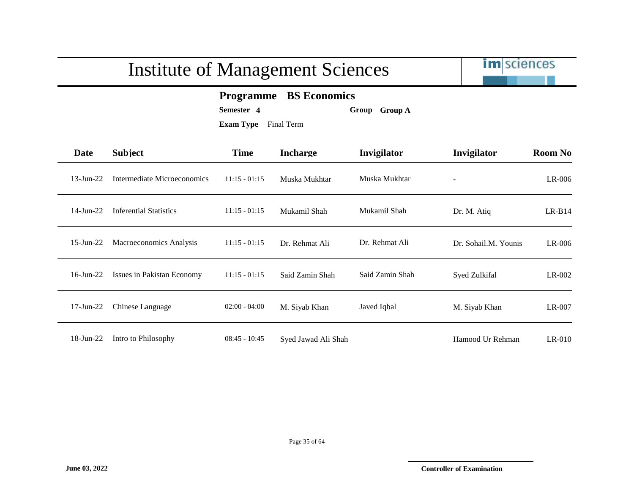|                 | <b>Institute of Management Sciences</b> |                                                                                                | <b>im</b> sciences  |                 |                      |                |
|-----------------|-----------------------------------------|------------------------------------------------------------------------------------------------|---------------------|-----------------|----------------------|----------------|
|                 |                                         | <b>Programme</b> BS Economics<br>Semester 4<br>Group Group A<br><b>Exam Type</b><br>Final Term |                     |                 |                      |                |
| Date            | <b>Subject</b>                          | <b>Time</b>                                                                                    | <b>Incharge</b>     | Invigilator     | Invigilator          | <b>Room No</b> |
| $13 - Jun - 22$ | Intermediate Microeconomics             | $11:15 - 01:15$                                                                                | Muska Mukhtar       | Muska Mukhtar   |                      | LR-006         |
| 14-Jun-22       | <b>Inferential Statistics</b>           | $11:15 - 01:15$                                                                                | Mukamil Shah        | Mukamil Shah    | Dr. M. Atiq          | $LR-B14$       |
| $15$ -Jun-22    | Macroeconomics Analysis                 | $11:15 - 01:15$                                                                                | Dr. Rehmat Ali      | Dr. Rehmat Ali  | Dr. Sohail.M. Younis | $LR-006$       |
| $16$ -Jun-22    | <b>Issues in Pakistan Economy</b>       | $11:15 - 01:15$                                                                                | Said Zamin Shah     | Said Zamin Shah | Syed Zulkifal        | $LR-002$       |
| $17$ -Jun- $22$ | Chinese Language                        | $02:00 - 04:00$                                                                                | M. Siyab Khan       | Javed Iqbal     | M. Siyab Khan        | LR-007         |
| $18$ -Jun-22    | Intro to Philosophy                     | $08:45 - 10:45$                                                                                | Syed Jawad Ali Shah |                 | Hamood Ur Rehman     | $LR-010$       |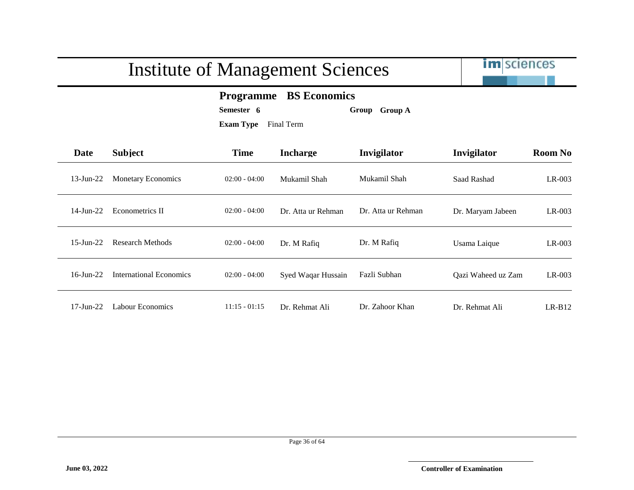

#### **Programme BS Economics**

**Semester 6 Group Group A**

| Date            | <b>Subject</b>            | <b>Time</b>     | <b>Incharge</b>    | <b>Invigilator</b> | Invigilator        | <b>Room No</b> |
|-----------------|---------------------------|-----------------|--------------------|--------------------|--------------------|----------------|
| $13$ -Jun-22    | <b>Monetary Economics</b> | $02:00 - 04:00$ | Mukamil Shah       | Mukamil Shah       | Saad Rashad        | $LR-003$       |
| 14-Jun-22       | Econometrics II           | $02:00 - 04:00$ | Dr. Atta ur Rehman | Dr. Atta ur Rehman | Dr. Maryam Jabeen  | $LR-003$       |
| $15$ -Jun-22    | Research Methods          | $02:00 - 04:00$ | Dr. M Rafiq        | Dr. M Rafiq        | Usama Laique       | LR-003         |
| $16$ -Jun- $22$ | International Economics   | $02:00 - 04:00$ | Syed Waqar Hussain | Fazli Subhan       | Qazi Waheed uz Zam | $LR-003$       |
| 17-Jun-22       | Labour Economics          | $11:15 - 01:15$ | Dr. Rehmat Ali     | Dr. Zahoor Khan    | Dr. Rehmat Ali     | $LR-B12$       |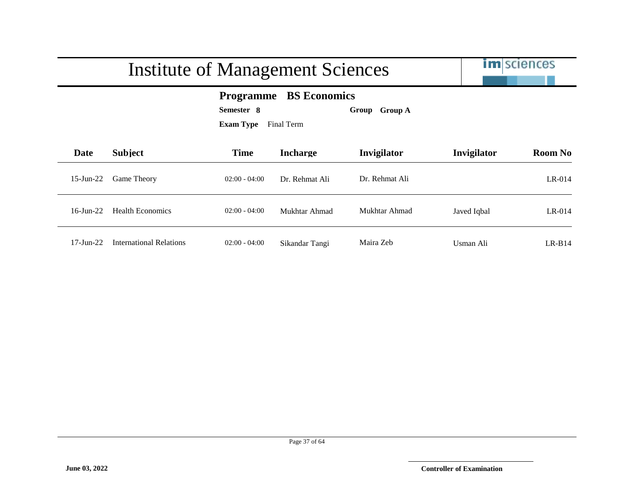

#### **Programme BS Economics**

**Semester 8 Group Group A**

| Date            | <b>Subject</b>          | <b>Time</b>     | <b>Incharge</b> | Invigilator    | Invigilator | <b>Room No</b> |
|-----------------|-------------------------|-----------------|-----------------|----------------|-------------|----------------|
| $15$ -Jun-22    | <b>Game Theory</b>      | $02:00 - 04:00$ | Dr. Rehmat Ali  | Dr. Rehmat Ali |             | $LR-014$       |
| $16$ -Jun-22    | Health Economics        | $02:00 - 04:00$ | Mukhtar Ahmad   | Mukhtar Ahmad  | Javed Iqbal | $LR-014$       |
| $17$ -Jun- $22$ | International Relations | $02:00 - 04:00$ | Sikandar Tangi  | Maira Zeb      | Usman Ali   | $LR-B14$       |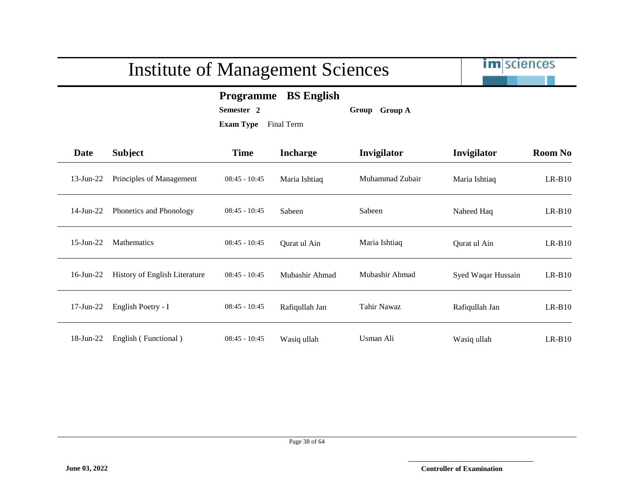

#### **Programme BS English**

**Semester 2 Group Group A**

| <b>Date</b>     | <b>Subject</b>                 | <b>Time</b>     | <b>Incharge</b> | Invigilator        | Invigilator        | <b>Room No</b> |
|-----------------|--------------------------------|-----------------|-----------------|--------------------|--------------------|----------------|
| $13$ -Jun-22    | Principles of Management       | $08:45 - 10:45$ | Maria Ishtiaq   | Muhammad Zubair    | Maria Ishtiaq      | $LR-B10$       |
| $14$ -Jun-22    | <b>Phonetics and Phonology</b> | $08:45 - 10:45$ | Sabeen          | Sabeen             | Naheed Haq         | $LR-B10$       |
| $15$ -Jun-22    | <b>Mathematics</b>             | $08:45 - 10:45$ | Qurat ul Ain    | Maria Ishtiaq      | Qurat ul Ain       | $LR-B10$       |
| $16$ -Jun-22    | History of English Literature  | $08:45 - 10:45$ | Mubashir Ahmad  | Mubashir Ahmad     | Syed Waqar Hussain | $LR-B10$       |
| $17$ -Jun- $22$ | English Poetry - I             | $08:45 - 10:45$ | Rafiqullah Jan  | <b>Tahir Nawaz</b> | Rafiqullah Jan     | $LR-B10$       |
| 18-Jun-22       | English (Functional)           | $08:45 - 10:45$ | Wasiq ullah     | Usman Ali          | Wasiq ullah        | $LR-B10$       |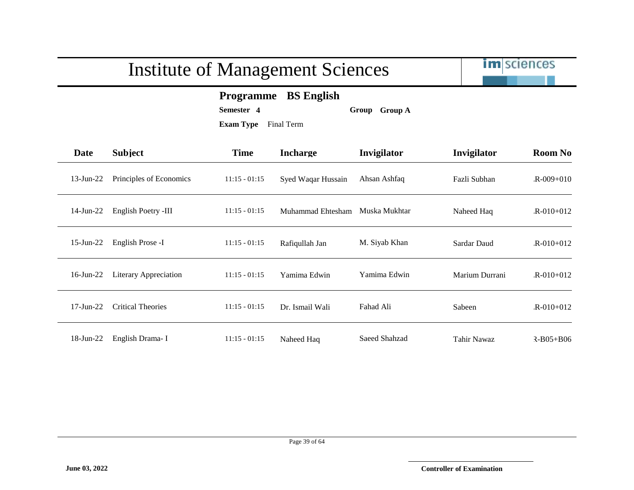

#### **Programme BS English**

**Semester 4 Group Group A**

| <b>Date</b>     | <b>Subject</b>               | <b>Time</b>     | <b>Incharge</b>    | Invigilator   | Invigilator    | <b>Room No</b>  |
|-----------------|------------------------------|-----------------|--------------------|---------------|----------------|-----------------|
| $13$ -Jun- $22$ | Principles of Economics      | $11:15 - 01:15$ | Syed Waqar Hussain | Ahsan Ashfaq  | Fazli Subhan   | $R - 009 + 010$ |
| $14$ -Jun-22    | English Poetry -III          | $11:15 - 01:15$ | Muhammad Ehtesham  | Muska Mukhtar | Naheed Haq     | $R - 010 + 012$ |
| $15$ -Jun-22    | English Prose -I             | $11:15 - 01:15$ | Rafiqullah Jan     | M. Siyab Khan | Sardar Daud    | $R - 010 + 012$ |
| $16$ -Jun-22    | <b>Literary Appreciation</b> | $11:15 - 01:15$ | Yamima Edwin       | Yamima Edwin  | Marium Durrani | $R - 010 + 012$ |
| $17$ -Jun- $22$ | <b>Critical Theories</b>     | $11:15 - 01:15$ | Dr. Ismail Wali    | Fahad Ali     | Sabeen         | $R - 010 + 012$ |
| 18-Jun-22       | English Drama-I              | $11:15 - 01:15$ | Naheed Haq         | Saeed Shahzad | Tahir Nawaz    | $R - B05 + B06$ |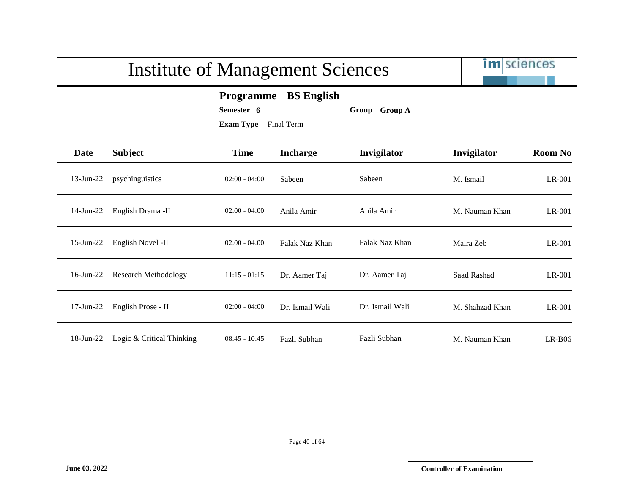

#### **Programme BS English**

**Semester 6 Group Group A**

| Date         | <b>Subject</b>              | <b>Time</b>     | <b>Incharge</b> | Invigilator     | Invigilator     | <b>Room No</b> |
|--------------|-----------------------------|-----------------|-----------------|-----------------|-----------------|----------------|
| $13$ -Jun-22 | psychinguistics             | $02:00 - 04:00$ | Sabeen          | Sabeen          | M. Ismail       | LR-001         |
| $14$ -Jun-22 | English Drama -II           | $02:00 - 04:00$ | Anila Amir      | Anila Amir      | M. Nauman Khan  | $LR-001$       |
| $15$ -Jun-22 | English Novel -II           | $02:00 - 04:00$ | Falak Naz Khan  | Falak Naz Khan  | Maira Zeb       | $LR-001$       |
| $16$ -Jun-22 | <b>Research Methodology</b> | $11:15 - 01:15$ | Dr. Aamer Taj   | Dr. Aamer Taj   | Saad Rashad     | LR-001         |
| $17$ -Jun-22 | English Prose - II          | $02:00 - 04:00$ | Dr. Ismail Wali | Dr. Ismail Wali | M. Shahzad Khan | $LR-001$       |
| 18-Jun-22    | Logic & Critical Thinking   | $08:45 - 10:45$ | Fazli Subhan    | Fazli Subhan    | M. Nauman Khan  | $LR-B06$       |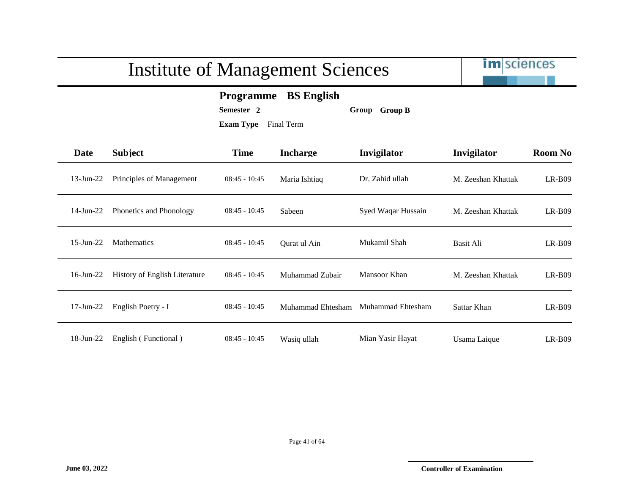

#### **Programme BS English**

**Semester 2 Group Group B**

| Date         | <b>Subject</b>                | <b>Time</b>     | <b>Incharge</b>   | Invigilator        | Invigilator        | <b>Room No</b> |
|--------------|-------------------------------|-----------------|-------------------|--------------------|--------------------|----------------|
| $13$ -Jun-22 | Principles of Management      | $08:45 - 10:45$ | Maria Ishtiaq     | Dr. Zahid ullah    | M. Zeeshan Khattak | $LR-B09$       |
| $14$ -Jun-22 | Phonetics and Phonology       | $08:45 - 10:45$ | Sabeen            | Syed Waqar Hussain | M. Zeeshan Khattak | $LR-B09$       |
| $15$ -Jun-22 | <b>Mathematics</b>            | $08:45 - 10:45$ | Qurat ul Ain      | Mukamil Shah       | <b>Basit Ali</b>   | $LR-B09$       |
| $16$ -Jun-22 | History of English Literature | $08:45 - 10:45$ | Muhammad Zubair   | Mansoor Khan       | M. Zeeshan Khattak | $LR-B09$       |
| $17$ -Jun-22 | English Poetry - I            | $08:45 - 10:45$ | Muhammad Ehtesham | Muhammad Ehtesham  | Sattar Khan        | $LR-B09$       |
| 18-Jun-22    | English (Functional)          | $08:45 - 10:45$ | Wasiq ullah       | Mian Yasir Hayat   | Usama Laique       | $LR-B09$       |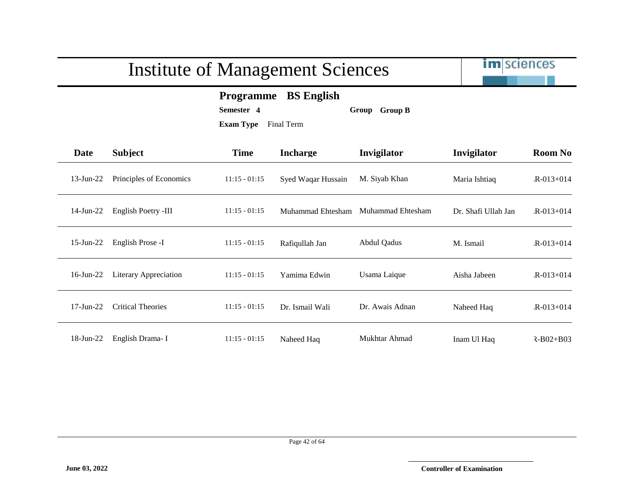

#### **Programme BS English**

**Semester 4 Group Group B**

| <b>Date</b>  | <b>Subject</b>               | <b>Time</b>     | <b>Incharge</b>    | Invigilator       | Invigilator         | <b>Room No</b>  |
|--------------|------------------------------|-----------------|--------------------|-------------------|---------------------|-----------------|
| $13$ -Jun-22 | Principles of Economics      | $11:15 - 01:15$ | Syed Waqar Hussain | M. Siyab Khan     | Maria Ishtiaq       | $R - 013 + 014$ |
| $14$ -Jun-22 | English Poetry -III          | $11:15 - 01:15$ | Muhammad Ehtesham  | Muhammad Ehtesham | Dr. Shafi Ullah Jan | $R - 013 + 014$ |
| $15$ -Jun-22 | English Prose -I             | $11:15 - 01:15$ | Rafiqullah Jan     | Abdul Qadus       | M. Ismail           | $R - 013 + 014$ |
| $16$ -Jun-22 | <b>Literary Appreciation</b> | $11:15 - 01:15$ | Yamima Edwin       | Usama Laique      | Aisha Jabeen        | $R - 013 + 014$ |
| $17$ -Jun-22 | <b>Critical Theories</b>     | $11:15 - 01:15$ | Dr. Ismail Wali    | Dr. Awais Adnan   | Naheed Haq          | $R - 013 + 014$ |
| 18-Jun-22    | English Drama-I              | $11:15 - 01:15$ | Naheed Haq         | Mukhtar Ahmad     | Inam Ul Haq         | $R - B02 + B03$ |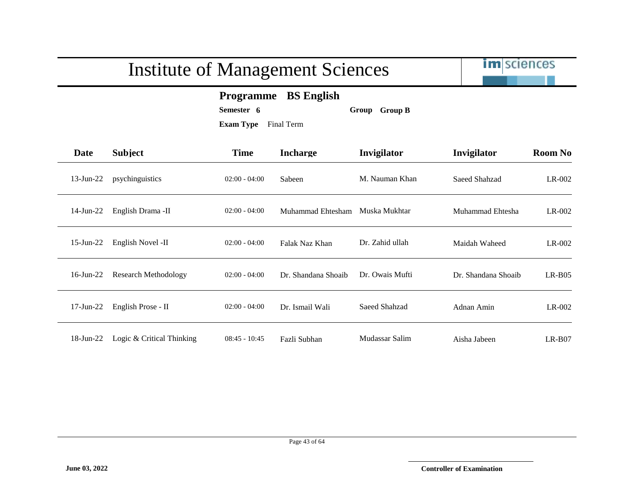|              | <b>Institute of Management Sciences</b> |                                                                                                        |                     |                 |                     | <b>im</b> sciences |  |
|--------------|-----------------------------------------|--------------------------------------------------------------------------------------------------------|---------------------|-----------------|---------------------|--------------------|--|
|              |                                         | <b>BS</b> English<br><b>Programme</b><br>Semester 6<br>Group Group B<br><b>Exam Type</b><br>Final Term |                     |                 |                     |                    |  |
| <b>Date</b>  | <b>Subject</b>                          | <b>Time</b>                                                                                            | <b>Incharge</b>     | Invigilator     | Invigilator         | <b>Room No</b>     |  |
| $13$ -Jun-22 | psychinguistics                         | $02:00 - 04:00$                                                                                        | Sabeen              | M. Nauman Khan  | Saeed Shahzad       | LR-002             |  |
| 14-Jun-22    | English Drama -II                       | $02:00 - 04:00$                                                                                        | Muhammad Ehtesham   | Muska Mukhtar   | Muhammad Ehtesha    | LR-002             |  |
| $15$ -Jun-22 | English Novel -II                       | $02:00 - 04:00$                                                                                        | Falak Naz Khan      | Dr. Zahid ullah | Maidah Waheed       | $LR-002$           |  |
| $16$ -Jun-22 | <b>Research Methodology</b>             | $02:00 - 04:00$                                                                                        | Dr. Shandana Shoaib | Dr. Owais Mufti | Dr. Shandana Shoaib | $LR-B05$           |  |
| $17$ -Jun-22 | English Prose - II                      | $02:00 - 04:00$                                                                                        | Dr. Ismail Wali     | Saeed Shahzad   | Adnan Amin          | $LR-002$           |  |
| $18$ -Jun-22 | Logic & Critical Thinking               | $08:45 - 10:45$                                                                                        | Fazli Subhan        | Mudassar Salim  | Aisha Jabeen        | $LR-B07$           |  |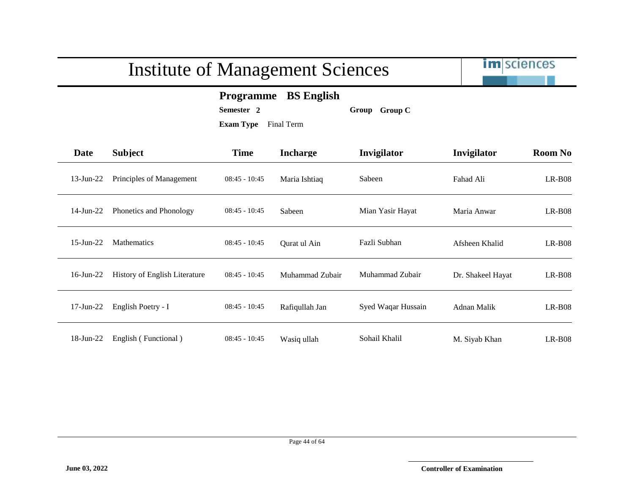

**Programme BS English**

**Semester 2 Group Group C**

| <b>Date</b>     | <b>Subject</b>                 | <b>Time</b>     | <b>Incharge</b> | Invigilator        | Invigilator        | <b>Room No</b> |
|-----------------|--------------------------------|-----------------|-----------------|--------------------|--------------------|----------------|
| $13$ -Jun-22    | Principles of Management       | $08:45 - 10:45$ | Maria Ishtiaq   | Sabeen             | Fahad Ali          | $LR-B08$       |
| $14$ -Jun-22    | <b>Phonetics and Phonology</b> | $08:45 - 10:45$ | Sabeen          | Mian Yasir Hayat   | Maria Anwar        | $LR-B08$       |
| $15$ -Jun-22    | <b>Mathematics</b>             | $08:45 - 10:45$ | Qurat ul Ain    | Fazli Subhan       | Afsheen Khalid     | $LR-B08$       |
| $16$ -Jun-22    | History of English Literature  | $08:45 - 10:45$ | Muhammad Zubair | Muhammad Zubair    | Dr. Shakeel Hayat  | $LR-B08$       |
| $17$ -Jun- $22$ | English Poetry - I             | $08:45 - 10:45$ | Rafiqullah Jan  | Syed Waqar Hussain | <b>Adnan Malik</b> | $LR-B08$       |
| 18-Jun-22       | English (Functional)           | $08:45 - 10:45$ | Wasiq ullah     | Sohail Khalil      | M. Siyab Khan      | $LR-B08$       |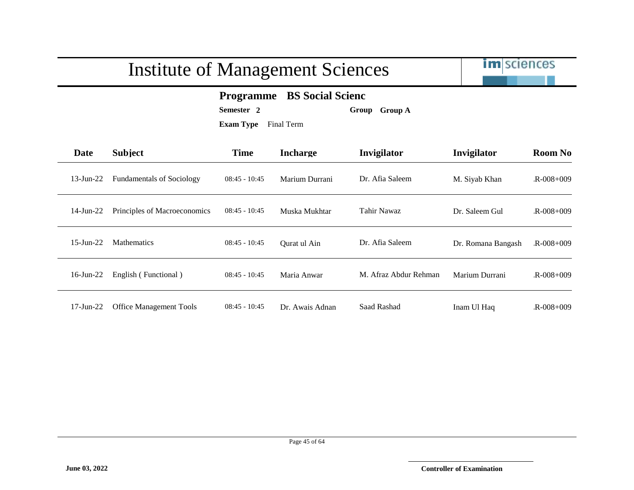

#### **Programme BS Social Scienc**

**Semester 2 Group Group A**

| Date         | <b>Subject</b>                   | <b>Time</b>     | <b>Incharge</b> | Invigilator           | Invigilator        | <b>Room No</b>  |
|--------------|----------------------------------|-----------------|-----------------|-----------------------|--------------------|-----------------|
| $13$ -Jun-22 | <b>Fundamentals of Sociology</b> | $08:45 - 10:45$ | Marium Durrani  | Dr. Afia Saleem       | M. Siyab Khan      | $R - 008 + 009$ |
| 14-Jun-22    | Principles of Macroeconomics     | $08:45 - 10:45$ | Muska Mukhtar   | Tahir Nawaz           | Dr. Saleem Gul     | $R - 008 + 009$ |
| $15$ -Jun-22 | Mathematics                      | $08:45 - 10:45$ | Qurat ul Ain    | Dr. Afia Saleem       | Dr. Romana Bangash | $R - 008 + 009$ |
| $16$ -Jun-22 | English (Functional)             | $08:45 - 10:45$ | Maria Anwar     | M. Afraz Abdur Rehman | Marium Durrani     | $R - 008 + 009$ |
| 17-Jun-22    | <b>Office Management Tools</b>   | $08:45 - 10:45$ | Dr. Awais Adnan | Saad Rashad           | Inam Ul Haq        | $R - 008 + 009$ |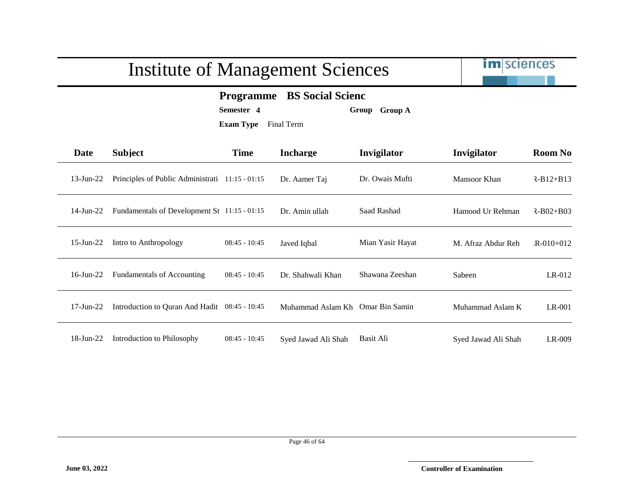

#### **Programme BS Social Scienc**

**Semester 4 Group Group A**

| Date         | <b>Subject</b>                                  | <b>Time</b>     | <b>Incharge</b>     | Invigilator      | Invigilator         | <b>Room No</b>  |
|--------------|-------------------------------------------------|-----------------|---------------------|------------------|---------------------|-----------------|
| 13-Jun-22    | Principles of Public Administrati 11:15 - 01:15 |                 | Dr. Aamer Taj       | Dr. Owais Mufti  | Mansoor Khan        | $R - B12 + B13$ |
| 14-Jun-22    | Fundamentals of Development St 11:15 - 01:15    |                 | Dr. Amin ullah      | Saad Rashad      | Hamood Ur Rehman    | $R - B02 + B03$ |
| $15$ -Jun-22 | Intro to Anthropology                           | $08:45 - 10:45$ | Javed Iqbal         | Mian Yasir Hayat | M. Afraz Abdur Reh  | $R - 010 + 012$ |
| $16$ -Jun-22 | <b>Fundamentals of Accounting</b>               | $08:45 - 10:45$ | Dr. Shahwali Khan   | Shawana Zeeshan  | Sabeen              | $LR-012$        |
| $17$ -Jun-22 | Introduction to Quran And Hadit 08:45 - 10:45   |                 | Muhammad Aslam Kh   | Omar Bin Samin   | Muhammad Aslam K    | $LR-001$        |
| 18-Jun-22    | Introduction to Philosophy                      | $08:45 - 10:45$ | Syed Jawad Ali Shah | Basit Ali        | Syed Jawad Ali Shah | LR-009          |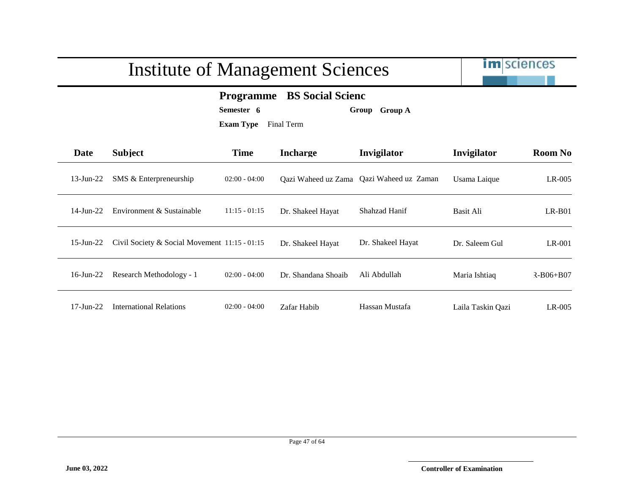|                 | <b>Institute of Management Sciences</b>       | <b>im</b> sciences                                                                                           |                     |                                          |                   |                 |
|-----------------|-----------------------------------------------|--------------------------------------------------------------------------------------------------------------|---------------------|------------------------------------------|-------------------|-----------------|
|                 |                                               | <b>BS</b> Social Scienc<br><b>Programme</b><br>Semester 6<br>Group Group A<br><b>Exam Type</b><br>Final Term |                     |                                          |                   |                 |
| Date            | <b>Subject</b>                                | <b>Time</b>                                                                                                  | <b>Incharge</b>     | Invigilator                              | Invigilator       | <b>Room No</b>  |
| $13$ -Jun-22    | SMS & Enterpreneurship                        | $02:00 - 04:00$                                                                                              |                     | Qazi Waheed uz Zama Qazi Waheed uz Zaman | Usama Laique      | $LR-005$        |
| $14$ -Jun-22    | Environment & Sustainable                     | $11:15 - 01:15$                                                                                              | Dr. Shakeel Hayat   | Shahzad Hanif                            | <b>Basit Ali</b>  | $LR-B01$        |
| $15$ -Jun-22    | Civil Society & Social Movement 11:15 - 01:15 |                                                                                                              | Dr. Shakeel Hayat   | Dr. Shakeel Hayat                        | Dr. Saleem Gul    | $LR-001$        |
| $16$ -Jun-22    | Research Methodology - 1                      | $02:00 - 04:00$                                                                                              | Dr. Shandana Shoaib | Ali Abdullah                             | Maria Ishtiaq     | $R - B06 + B07$ |
| $17$ -Jun- $22$ | <b>International Relations</b>                | $02:00 - 04:00$                                                                                              | Zafar Habib         | Hassan Mustafa                           | Laila Taskin Qazi | $LR-005$        |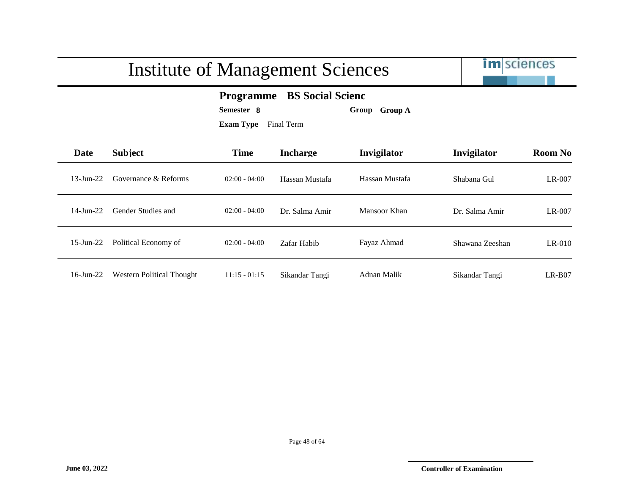

#### **Programme BS Social Scienc**

**Semester 8 Group Group A**

| Date            | <b>Subject</b>                   | <b>Time</b>     | <b>Incharge</b> | <b>Invigilator</b> | Invigilator     | <b>Room No</b> |
|-----------------|----------------------------------|-----------------|-----------------|--------------------|-----------------|----------------|
| $13$ -Jun-22    | Governance & Reforms             | $02:00 - 04:00$ | Hassan Mustafa  | Hassan Mustafa     | Shabana Gul     | LR-007         |
| $14$ -Jun- $22$ | Gender Studies and               | $02:00 - 04:00$ | Dr. Salma Amir  | Mansoor Khan       | Dr. Salma Amir  | $LR-007$       |
| $15$ -Jun-22    | Political Economy of             | $02:00 - 04:00$ | Zafar Habib     | Fayaz Ahmad        | Shawana Zeeshan | $LR-010$       |
| $16$ -Jun-22    | <b>Western Political Thought</b> | $11:15 - 01:15$ | Sikandar Tangi  | Adnan Malik        | Sikandar Tangi  | $LR-B07$       |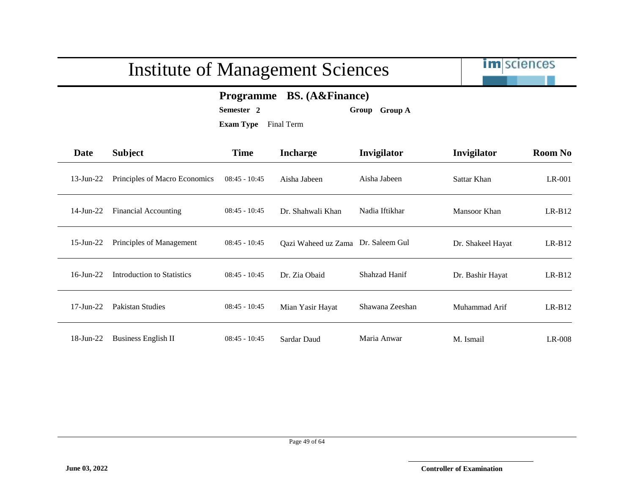

#### **Programme BS. (A&Finance)**

**Semester 2 Group Group A**

| Date            | <b>Subject</b>                | <b>Time</b>     | <b>Incharge</b>     | Invigilator     | Invigilator       | <b>Room No</b> |
|-----------------|-------------------------------|-----------------|---------------------|-----------------|-------------------|----------------|
| $13$ -Jun- $22$ | Principles of Macro Economics | $08:45 - 10:45$ | Aisha Jabeen        | Aisha Jabeen    | Sattar Khan       | $LR-001$       |
| $14$ -Jun-22    | <b>Financial Accounting</b>   | $08:45 - 10:45$ | Dr. Shahwali Khan   | Nadia Iftikhar  | Mansoor Khan      | $LR-B12$       |
| $15$ -Jun-22    | Principles of Management      | $08:45 - 10:45$ | Qazi Waheed uz Zama | Dr. Saleem Gul  | Dr. Shakeel Hayat | $LR-B12$       |
| $16$ -Jun- $22$ | Introduction to Statistics    | $08:45 - 10:45$ | Dr. Zia Obaid       | Shahzad Hanif   | Dr. Bashir Hayat  | $LR-B12$       |
| $17$ -Jun- $22$ | Pakistan Studies              | $08:45 - 10:45$ | Mian Yasir Hayat    | Shawana Zeeshan | Muhammad Arif     | $LR-B12$       |
| 18-Jun-22       | <b>Business English II</b>    | $08:45 - 10:45$ | Sardar Daud         | Maria Anwar     | M. Ismail         | $LR-008$       |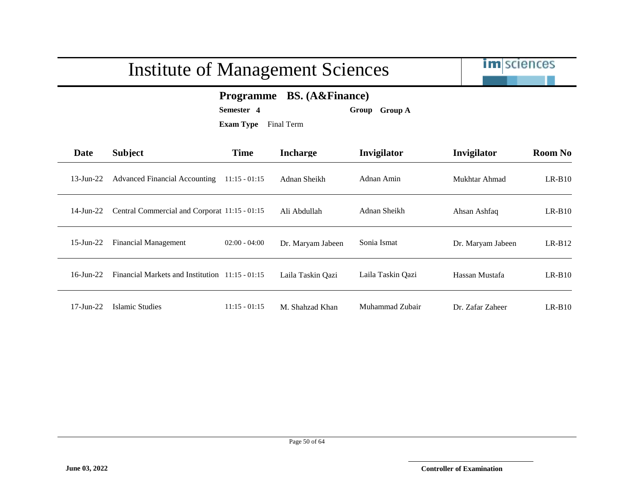

#### **Programme BS. (A&Finance)**

**Semester 4 Group Group A**

| Date         | <b>Subject</b>                                  | <b>Time</b>     | <b>Incharge</b>   | Invigilator       | Invigilator       | <b>Room No</b> |
|--------------|-------------------------------------------------|-----------------|-------------------|-------------------|-------------------|----------------|
| 13-Jun-22    | <b>Advanced Financial Accounting</b>            | $11:15 - 01:15$ | Adnan Sheikh      | Adnan Amin        | Mukhtar Ahmad     | $LR-B10$       |
| 14-Jun-22    | Central Commercial and Corporat 11:15 - 01:15   |                 | Ali Abdullah      | Adnan Sheikh      | Ahsan Ashfaq      | $LR-B10$       |
| $15$ -Jun-22 | <b>Financial Management</b>                     | $02:00 - 04:00$ | Dr. Maryam Jabeen | Sonia Ismat       | Dr. Maryam Jabeen | $LR-B12$       |
| $16$ -Jun-22 | Financial Markets and Institution 11:15 - 01:15 |                 | Laila Taskin Qazi | Laila Taskin Qazi | Hassan Mustafa    | $LR-B10$       |
| 17-Jun-22    | Islamic Studies                                 | $11:15 - 01:15$ | M. Shahzad Khan   | Muhammad Zubair   | Dr. Zafar Zaheer  | $LR-B10$       |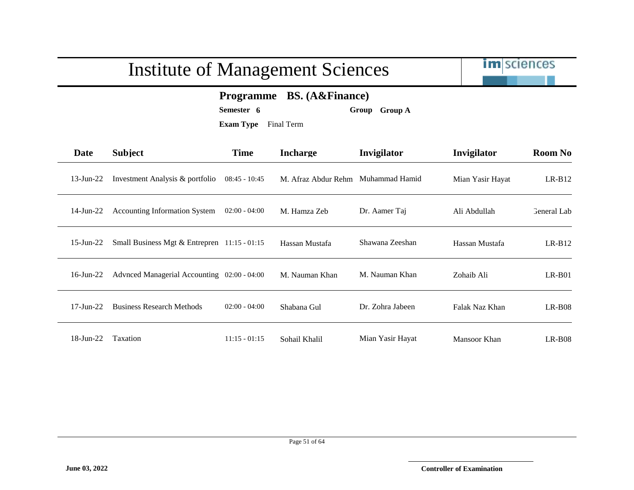

#### **Programme BS. (A&Finance)**

**Semester 6 Group Group A**

| Date          | <b>Subject</b>                                 | <b>Time</b>     | <b>Incharge</b>     | Invigilator      | Invigilator      | <b>Room No</b> |
|---------------|------------------------------------------------|-----------------|---------------------|------------------|------------------|----------------|
| 13-Jun-22     | Investment Analysis & portfolio                | $08:45 - 10:45$ | M. Afraz Abdur Rehm | Muhammad Hamid   | Mian Yasir Hayat | $LR-B12$       |
| 14-Jun-22     | <b>Accounting Information System</b>           | $02:00 - 04:00$ | M. Hamza Zeb        | Dr. Aamer Taj    | Ali Abdullah     | General Lab    |
| $15$ -Jun-22  | Small Business Mgt $&$ Entrepren 11:15 - 01:15 |                 | Hassan Mustafa      | Shawana Zeeshan  | Hassan Mustafa   | $LR-B12$       |
| 16-Jun-22     | Advnced Managerial Accounting 02:00 - 04:00    |                 | M. Nauman Khan      | M. Nauman Khan   | Zohaib Ali       | $LR-B01$       |
| $17 - Jun-22$ | <b>Business Research Methods</b>               | $02:00 - 04:00$ | Shabana Gul         | Dr. Zohra Jabeen | Falak Naz Khan   | $LR-B08$       |
| 18-Jun-22     | Taxation                                       | $11:15 - 01:15$ | Sohail Khalil       | Mian Yasir Hayat | Mansoor Khan     | $LR-B08$       |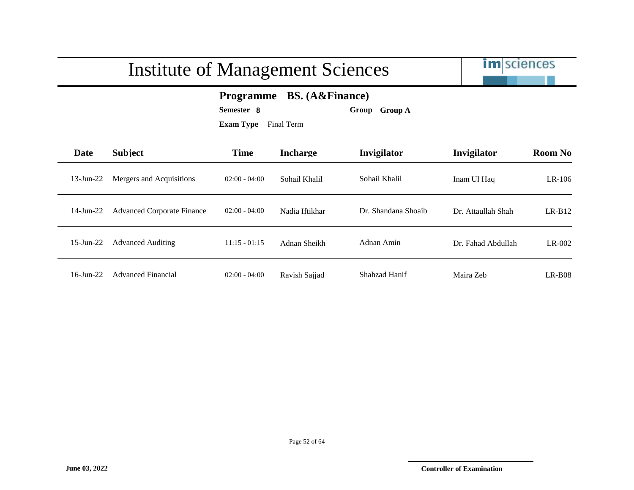|              |                                   | <b>Institute of Management Sciences</b>                                                                               |                 |                     | <b>im</b> sciences |                |
|--------------|-----------------------------------|-----------------------------------------------------------------------------------------------------------------------|-----------------|---------------------|--------------------|----------------|
|              |                                   | <b>BS.</b> (A&Finance)<br><b>Programme</b><br>Semester 8<br><b>Group A</b><br>Group<br><b>Exam Type</b><br>Final Term |                 |                     |                    |                |
| Date         | <b>Subject</b>                    | <b>Time</b>                                                                                                           | <b>Incharge</b> | Invigilator         | Invigilator        | <b>Room No</b> |
| $13$ -Jun-22 | Mergers and Acquisitions          | $02:00 - 04:00$                                                                                                       | Sohail Khalil   | Sohail Khalil       | Inam Ul Haq        | $LR-106$       |
| $14$ -Jun-22 | <b>Advanced Corporate Finance</b> | $02:00 - 04:00$                                                                                                       | Nadia Iftikhar  | Dr. Shandana Shoaib | Dr. Attaullah Shah | $LR-B12$       |
| $15$ -Jun-22 | <b>Advanced Auditing</b>          | $11:15 - 01:15$                                                                                                       | Adnan Sheikh    | Adnan Amin          | Dr. Fahad Abdullah | LR-002         |
| $16$ -Jun-22 | <b>Advanced Financial</b>         | $02:00 - 04:00$                                                                                                       | Ravish Sajjad   | Shahzad Hanif       | Maira Zeb          | $LR-B08$       |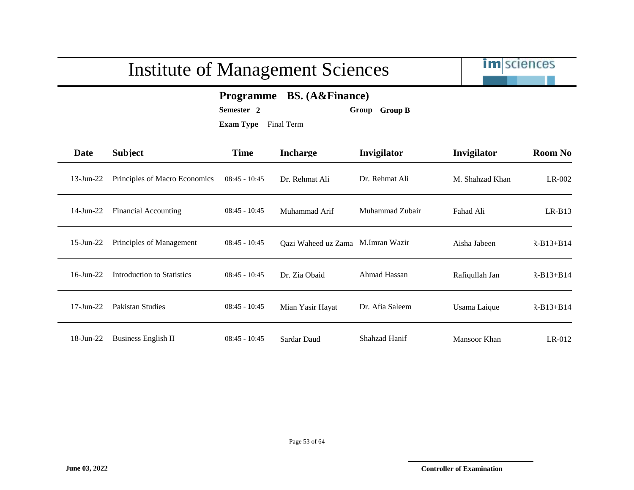

#### **Programme BS. (A&Finance)**

**Semester 2 Group Group B**

| Date        | <b>Subject</b>                | <b>Time</b>     | <b>Incharge</b>                   | Invigilator     | Invigilator     | <b>Room No</b> |
|-------------|-------------------------------|-----------------|-----------------------------------|-----------------|-----------------|----------------|
| 13-Jun-22   | Principles of Macro Economics | $08:45 - 10:45$ | Dr. Rehmat Ali                    | Dr. Rehmat Ali  | M. Shahzad Khan | $LR-002$       |
| 14-Jun-22   | <b>Financial Accounting</b>   | $08:45 - 10:45$ | Muhammad Arif                     | Muhammad Zubair | Fahad Ali       | $LR-B13$       |
| 15-Jun-22   | Principles of Management      | $08:45 - 10:45$ | Qazi Waheed uz Zama M.Imran Wazir |                 | Aisha Jabeen    | $R-B13+B14$    |
| 16-Jun-22   | Introduction to Statistics    | $08:45 - 10:45$ | Dr. Zia Obaid                     | Ahmad Hassan    | Rafiqullah Jan  | $R-B13+B14$    |
| $17-Jun-22$ | <b>Pakistan Studies</b>       | $08:45 - 10:45$ | Mian Yasir Hayat                  | Dr. Afia Saleem | Usama Laique    | $R-B13+B14$    |
| 18-Jun-22   | <b>Business English II</b>    | $08:45 - 10:45$ | Sardar Daud                       | Shahzad Hanif   | Mansoor Khan    | $LR-012$       |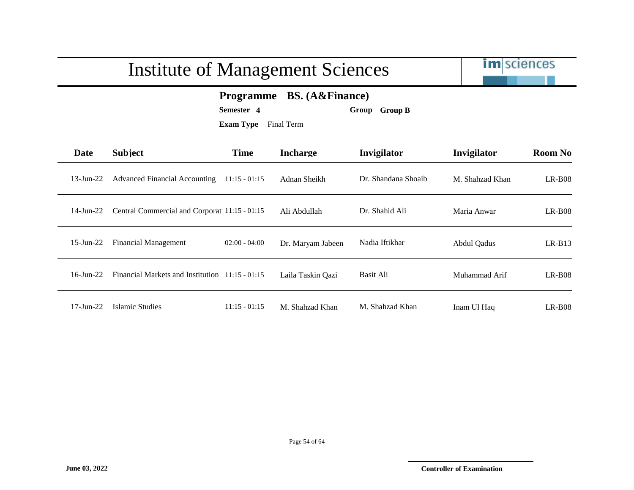

#### **Programme BS. (A&Finance)**

**Semester 4 Group Group B**

| Date         | Subject                                         | <b>Time</b>     | <b>Incharge</b>   | Invigilator         | Invigilator     | <b>Room No</b> |
|--------------|-------------------------------------------------|-----------------|-------------------|---------------------|-----------------|----------------|
| 13-Jun-22    | <b>Advanced Financial Accounting</b>            | $11:15 - 01:15$ | Adnan Sheikh      | Dr. Shandana Shoaib | M. Shahzad Khan | $LR-B08$       |
| 14-Jun-22    | Central Commercial and Corporat 11:15 - 01:15   |                 | Ali Abdullah      | Dr. Shahid Ali      | Maria Anwar     | $LR-B08$       |
| $15$ -Jun-22 | <b>Financial Management</b>                     | $02:00 - 04:00$ | Dr. Maryam Jabeen | Nadia Iftikhar      | Abdul Qadus     | $LR-B13$       |
| $16$ -Jun-22 | Financial Markets and Institution 11:15 - 01:15 |                 | Laila Taskin Qazi | Basit Ali           | Muhammad Arif   | $LR-B08$       |
| 17-Jun-22    | Islamic Studies                                 | $11:15 - 01:15$ | M. Shahzad Khan   | M. Shahzad Khan     | Inam Ul Haq     | $LR-BO8$       |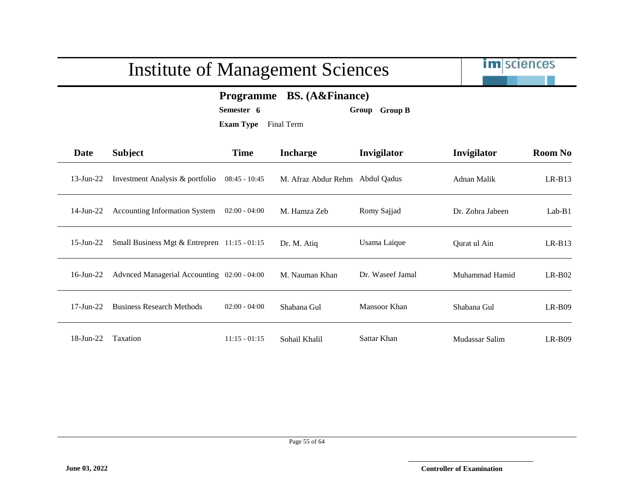

#### **Programme BS. (A&Finance)**

**Semester 6 Group Group B**

| Date          | <b>Subject</b>                               | <b>Time</b>     | <b>Incharge</b>     | Invigilator      | Invigilator      | <b>Room No</b> |
|---------------|----------------------------------------------|-----------------|---------------------|------------------|------------------|----------------|
| 13-Jun-22     | Investment Analysis & portfolio              | $08:45 - 10:45$ | M. Afraz Abdur Rehm | Abdul Qadus      | Adnan Malik      | $LR-B13$       |
| 14-Jun-22     | <b>Accounting Information System</b>         | $02:00 - 04:00$ | M. Hamza Zeb        | Romy Sajjad      | Dr. Zohra Jabeen | $Lab-B1$       |
| $15$ -Jun-22  | Small Business Mgt & Entrepren 11:15 - 01:15 |                 | Dr. M. Atiq         | Usama Laique     | Qurat ul Ain     | $LR-B13$       |
| $16$ -Jun-22  | Advnced Managerial Accounting 02:00 - 04:00  |                 | M. Nauman Khan      | Dr. Waseef Jamal | Muhammad Hamid   | $LR-B02$       |
| $17 - Jun-22$ | <b>Business Research Methods</b>             | $02:00 - 04:00$ | Shabana Gul         | Mansoor Khan     | Shabana Gul      | $LR-B09$       |
| 18-Jun-22     | Taxation                                     | $11:15 - 01:15$ | Sohail Khalil       | Sattar Khan      | Mudassar Salim   | $LR-B09$       |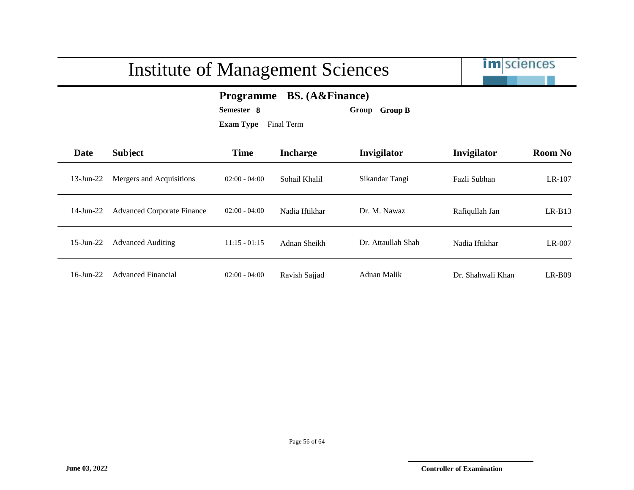

#### **Programme BS. (A&Finance)**

**Semester 8 Group Group B**

| Date            | Subject                           | <b>Time</b>     | <b>Incharge</b> | Invigilator        | Invigilator       | <b>Room No</b> |
|-----------------|-----------------------------------|-----------------|-----------------|--------------------|-------------------|----------------|
| $13$ -Jun-22    | Mergers and Acquisitions          | $02:00 - 04:00$ | Sohail Khalil   | Sikandar Tangi     | Fazli Subhan      | $LR-107$       |
| $14$ -Jun-22    | <b>Advanced Corporate Finance</b> | $02:00 - 04:00$ | Nadia Iftikhar  | Dr. M. Nawaz       | Rafiqullah Jan    | $LR-B13$       |
| $15$ -Jun-22    | <b>Advanced Auditing</b>          | $11:15 - 01:15$ | Adnan Sheikh    | Dr. Attaullah Shah | Nadia Iftikhar    | $LR-007$       |
| $16$ -Jun- $22$ | <b>Advanced Financial</b>         | $02:00 - 04:00$ | Ravish Sajjad   | Adnan Malik        | Dr. Shahwali Khan | $LR-B09$       |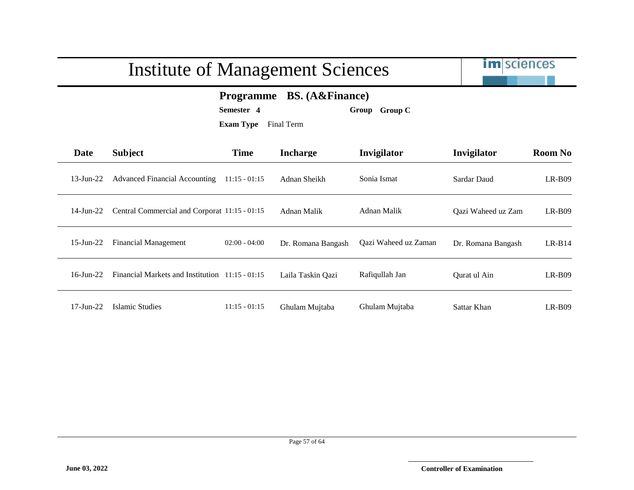

#### **Programme BS. (A&Finance)**

**Semester 4 Group Group C**

| Date          | <b>Subject</b>                                  | <b>Time</b>     | <b>Incharge</b>    | Invigilator          | Invigilator        | <b>Room No</b> |
|---------------|-------------------------------------------------|-----------------|--------------------|----------------------|--------------------|----------------|
| 13-Jun-22     | <b>Advanced Financial Accounting</b>            | $11:15 - 01:15$ | Adnan Sheikh       | Sonia Ismat          | Sardar Daud        | $LR-B09$       |
| 14-Jun-22     | Central Commercial and Corporat 11:15 - 01:15   |                 | Adnan Malik        | Adnan Malik          | Qazi Waheed uz Zam | $LR-B09$       |
| 15-Jun-22     | <b>Financial Management</b>                     | $02:00 - 04:00$ | Dr. Romana Bangash | Qazi Waheed uz Zaman | Dr. Romana Bangash | $LR-B14$       |
| $16$ -Jun-22  | Financial Markets and Institution 11:15 - 01:15 |                 | Laila Taskin Qazi  | Rafiqullah Jan       | Qurat ul Ain       | $LR-B09$       |
| $17 - Jun-22$ | Islamic Studies                                 | $11:15 - 01:15$ | Ghulam Mujtaba     | Ghulam Mujtaba       | Sattar Khan        | $LR-BO9$       |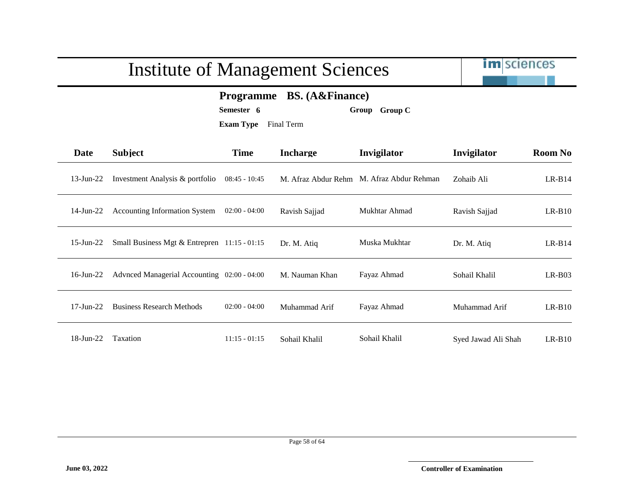

#### **Programme BS. (A&Finance)**

**Semester 6 Group Group C**

| Date            | <b>Subject</b>                                 | <b>Time</b>     | <b>Incharge</b> | Invigilator                               | Invigilator         | <b>Room No</b> |
|-----------------|------------------------------------------------|-----------------|-----------------|-------------------------------------------|---------------------|----------------|
| $13$ -Jun-22    | Investment Analysis & portfolio                | $08:45 - 10:45$ |                 | M. Afraz Abdur Rehm M. Afraz Abdur Rehman | Zohaib Ali          | $LR- B14$      |
| $14$ -Jun-22    | <b>Accounting Information System</b>           | $02:00 - 04:00$ | Ravish Sajjad   | Mukhtar Ahmad                             | Ravish Sajjad       | $LR-B10$       |
| $15$ -Jun-22    | Small Business Mgt & Entrepren $11:15 - 01:15$ |                 | Dr. M. Atiq     | Muska Mukhtar                             | Dr. M. Atiq         | $LR-B14$       |
| $16$ -Jun-22    | Advnced Managerial Accounting 02:00 - 04:00    |                 | M. Nauman Khan  | Fayaz Ahmad                               | Sohail Khalil       | $LR-B03$       |
| $17$ -Jun- $22$ | <b>Business Research Methods</b>               | $02:00 - 04:00$ | Muhammad Arif   | Fayaz Ahmad                               | Muhammad Arif       | $LR-B10$       |
| 18-Jun-22       | Taxation                                       | $11:15 - 01:15$ | Sohail Khalil   | Sohail Khalil                             | Syed Jawad Ali Shah | $LR-B10$       |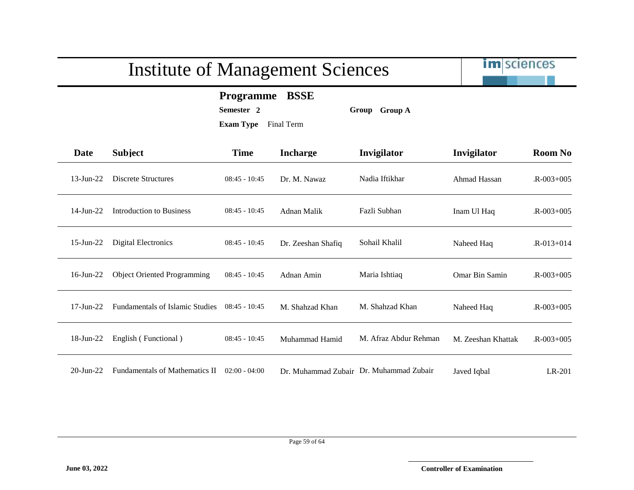

**Programme BSSE**

**Semester 2 Group Group A**

| Date            | <b>Subject</b>                        | <b>Time</b>     | <b>Incharge</b>    | Invigilator                             | Invigilator        | <b>Room No</b>  |
|-----------------|---------------------------------------|-----------------|--------------------|-----------------------------------------|--------------------|-----------------|
| $13$ -Jun-22    | <b>Discrete Structures</b>            | $08:45 - 10:45$ | Dr. M. Nawaz       | Nadia Iftikhar                          | Ahmad Hassan       | $R - 003 + 005$ |
| $14$ -Jun-22    | Introduction to Business              | $08:45 - 10:45$ | Adnan Malik        | Fazli Subhan                            | Inam Ul Haq        | $R - 003 + 005$ |
| $15$ -Jun- $22$ | Digital Electronics                   | $08:45 - 10:45$ | Dr. Zeeshan Shafiq | Sohail Khalil                           | Naheed Haq         | $R - 013 + 014$ |
| $16$ -Jun-22    | <b>Object Oriented Programming</b>    | $08:45 - 10:45$ | Adnan Amin         | Maria Ishtiaq                           | Omar Bin Samin     | $R - 003 + 005$ |
| $17-Jun-22$     | Fundamentals of Islamic Studies       | $08:45 - 10:45$ | M. Shahzad Khan    | M. Shahzad Khan                         | Naheed Haq         | $R - 003 + 005$ |
| $18$ -Jun-22    | English (Functional)                  | $08:45 - 10:45$ | Muhammad Hamid     | M. Afraz Abdur Rehman                   | M. Zeeshan Khattak | $R - 003 + 005$ |
| $20$ -Jun- $22$ | <b>Fundamentals of Mathematics II</b> | $02:00 - 04:00$ |                    | Dr. Muhammad Zubair Dr. Muhammad Zubair | Javed Iqbal        | LR-201          |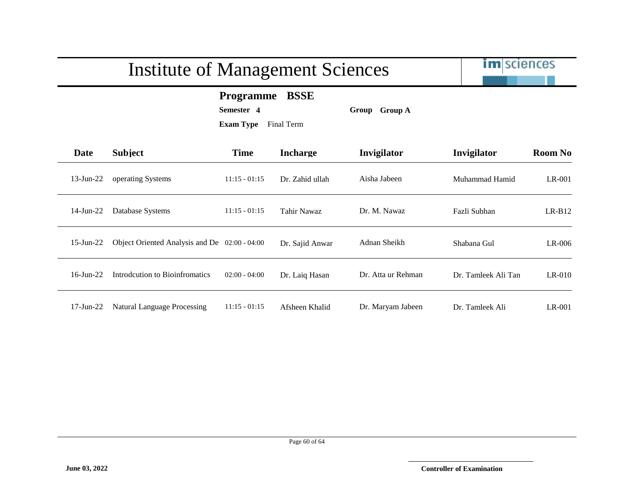# Institute of Management Sciences **Programme BSSE**

**Semester 4 Group Group A**

**Exam Type** Final Term

| .<br>. .<br>w | ----<br>۰. |  | ----- | $\overline{\phantom{0}}$ |
|---------------|------------|--|-------|--------------------------|
|               |            |  |       |                          |
|               |            |  |       |                          |

| Date            | <b>Subject</b>                                | <b>Time</b>     | <b>Incharge</b> | <b>Invigilator</b> | Invigilator         | <b>Room No</b> |
|-----------------|-----------------------------------------------|-----------------|-----------------|--------------------|---------------------|----------------|
| $13$ -Jun-22    | operating Systems                             | $11:15 - 01:15$ | Dr. Zahid ullah | Aisha Jabeen       | Muhammad Hamid      | LR-001         |
| $14$ -Jun-22    | Database Systems                              | $11:15 - 01:15$ | Tahir Nawaz     | Dr. M. Nawaz       | Fazli Subhan        | $LR-B12$       |
| $15$ -Jun-22    | Object Oriented Analysis and De 02:00 - 04:00 |                 | Dr. Sajid Anwar | Adnan Sheikh       | Shabana Gul         | $LR-006$       |
| $16$ -Jun-22    | Introdcution to Bioinfromatics                | $02:00 - 04:00$ | Dr. Laiq Hasan  | Dr. Atta ur Rehman | Dr. Tamleek Ali Tan | $LR-010$       |
| $17$ -Jun- $22$ | Natural Language Processing                   | $11:15 - 01:15$ | Afsheen Khalid  | Dr. Maryam Jabeen  | Dr. Tamleek Ali     | LR-001         |

im sciences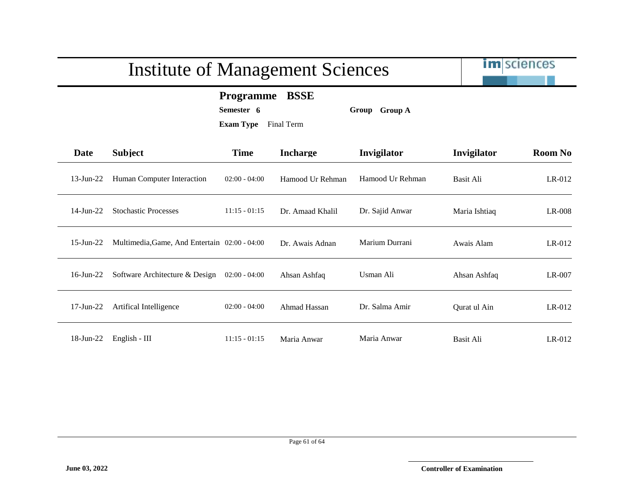

#### **Programme BSSE**

**Semester 6 Group Group A**

| Date            | <b>Subject</b>                                | <b>Time</b>     | <b>Incharge</b>  | Invigilator      | Invigilator   | <b>Room No</b> |
|-----------------|-----------------------------------------------|-----------------|------------------|------------------|---------------|----------------|
| $13$ -Jun-22    | Human Computer Interaction                    | $02:00 - 04:00$ | Hamood Ur Rehman | Hamood Ur Rehman | Basit Ali     | $LR-012$       |
| $14$ -Jun- $22$ | <b>Stochastic Processes</b>                   | $11:15 - 01:15$ | Dr. Amaad Khalil | Dr. Sajid Anwar  | Maria Ishtiaq | $LR-008$       |
| $15$ -Jun-22    | Multimedia, Game, And Entertain 02:00 - 04:00 |                 | Dr. Awais Adnan  | Marium Durrani   | Awais Alam    | $LR-012$       |
| $16$ -Jun-22    | Software Architecture & Design                | $02:00 - 04:00$ | Ahsan Ashfaq     | Usman Ali        | Ahsan Ashfaq  | LR-007         |
| $17$ -Jun- $22$ | Artifical Intelligence                        | $02:00 - 04:00$ | Ahmad Hassan     | Dr. Salma Amir   | Qurat ul Ain  | $LR-012$       |
| $18$ -Jun-22    | English - III                                 | $11:15 - 01:15$ | Maria Anwar      | Maria Anwar      | Basit Ali     | $LR-012$       |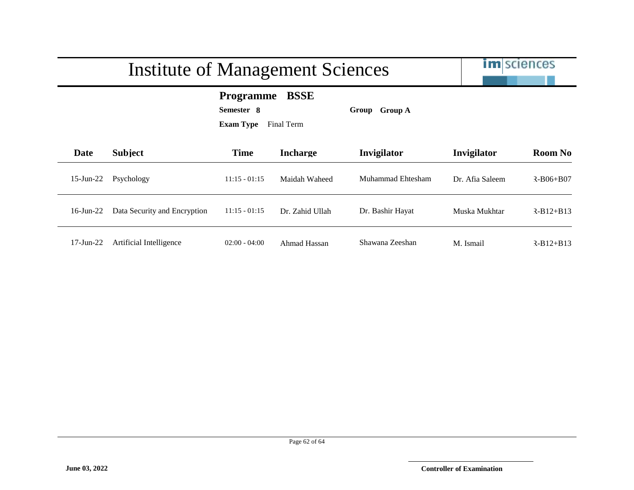# im sciences Institute of Management Sciences **Programme BSSE Semester 8 Group Group A Exam Type** Final Term **Date Subject Time Incharge Invigilator Invigilator Room No** 15-Jun-22 Psychology 11:15 - 01:15 Maidah Waheed Muhammad Ehtesham Dr. Afia Saleem R-B06+B07 16-Jun-22 Data Security and Encryption 11:15 - 01:15 Dr. Zahid Ullah Dr. Bashir Hayat Muska Mukhtar LR-B12+B13 17-Jun-22 Artificial Intelligence 02:00 - 04:00 Ahmad Hassan Shawana Zeeshan M. Ismail R-B12+B13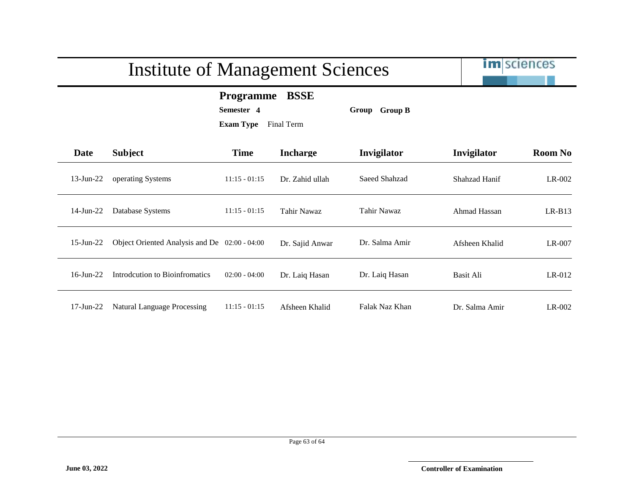im sciences

#### **Programme BSSE**

**Semester 4 Group Group B**

| Date            | <b>Subject</b>                                | <b>Time</b>     | <b>Incharge</b> | Invigilator    | Invigilator    | <b>Room No</b> |
|-----------------|-----------------------------------------------|-----------------|-----------------|----------------|----------------|----------------|
| $13$ -Jun-22    | operating Systems                             | $11:15 - 01:15$ | Dr. Zahid ullah | Saeed Shahzad  | Shahzad Hanif  | LR-002         |
| $14$ -Jun-22    | Database Systems                              | $11:15 - 01:15$ | Tahir Nawaz     | Tahir Nawaz    | Ahmad Hassan   | $LR-B13$       |
| $15$ -Jun-22    | Object Oriented Analysis and De 02:00 - 04:00 |                 | Dr. Sajid Anwar | Dr. Salma Amir | Afsheen Khalid | LR-007         |
| $16$ -Jun-22    | Introdeution to Bioinfromatics                | $02:00 - 04:00$ | Dr. Laiq Hasan  | Dr. Laiq Hasan | Basit Ali      | $LR-012$       |
| $17$ -Jun- $22$ | Natural Language Processing                   | $11:15 - 01:15$ | Afsheen Khalid  | Falak Naz Khan | Dr. Salma Amir | $LR-002$       |